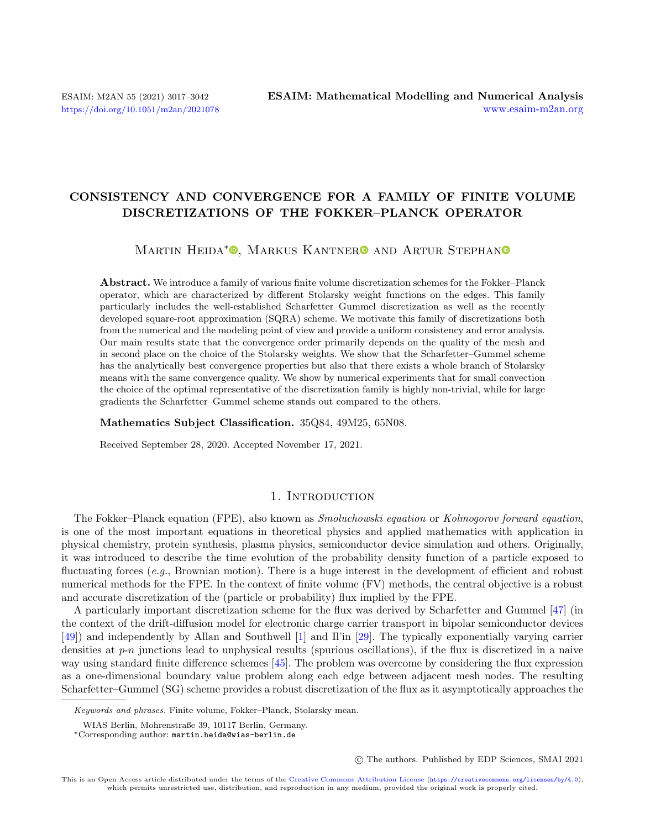## CONSISTENCY AND CONVERGENCE FOR A FAMILY OF FINITE VOLUME DISCRETIZATIONS OF THE FOKKER–PLANCK OPERATOR

# MARTIN HEIDA<sup>\*</sup><sup>®</sup>[,](https://orcid.org/0000-0002-7242-8175) MARKUS KANTNER<sup>®</sup> AND ARTUR STEPHAN

Abstract. We introduce a family of various finite volume discretization schemes for the Fokker–Planck operator, which are characterized by different Stolarsky weight functions on the edges. This family particularly includes the well-established Scharfetter–Gummel discretization as well as the recently developed square-root approximation (SQRA) scheme. We motivate this family of discretizations both from the numerical and the modeling point of view and provide a uniform consistency and error analysis. Our main results state that the convergence order primarily depends on the quality of the mesh and in second place on the choice of the Stolarsky weights. We show that the Scharfetter–Gummel scheme has the analytically best convergence properties but also that there exists a whole branch of Stolarsky means with the same convergence quality. We show by numerical experiments that for small convection the choice of the optimal representative of the discretization family is highly non-trivial, while for large gradients the Scharfetter–Gummel scheme stands out compared to the others.

Mathematics Subject Classification. 35Q84, 49M25, 65N08.

Received September 28, 2020. Accepted November 17, 2021.

## 1. INTRODUCTION

The Fokker–Planck equation (FPE), also known as *Smoluchowski equation* or *Kolmogorov forward equation*, is one of the most important equations in theoretical physics and applied mathematics with application in physical chemistry, protein synthesis, plasma physics, semiconductor device simulation and others. Originally, it was introduced to describe the time evolution of the probability density function of a particle exposed to fluctuating forces (e.g., Brownian motion). There is a huge interest in the development of efficient and robust numerical methods for the FPE. In the context of finite volume (FV) methods, the central objective is a robust and accurate discretization of the (particle or probability) flux implied by the FPE.

A particularly important discretization scheme for the flux was derived by Scharfetter and Gummel [\[47\]](#page-25-0) (in the context of the drift-diffusion model for electronic charge carrier transport in bipolar semiconductor devices [\[49\]](#page-25-1)) and independently by Allan and Southwell [\[1\]](#page-24-0) and Il'in [\[29\]](#page-24-1). The typically exponentially varying carrier densities at  $p-n$  junctions lead to unphysical results (spurious oscillations), if the flux is discretized in a naive way using standard finite difference schemes [\[45\]](#page-25-2). The problem was overcome by considering the flux expression as a one-dimensional boundary value problem along each edge between adjacent mesh nodes. The resulting Scharfetter–Gummel (SG) scheme provides a robust discretization of the flux as it asymptotically approaches the

Keywords and phrases. Finite volume, Fokker–Planck, Stolarsky mean.

WIAS Berlin, Mohrenstraße 39, 10117 Berlin, Germany.

<sup>\*</sup>Corresponding author: [martin.heida@wias-berlin.de](mailto:martin.heida@wias-berlin.de)

<sup>○</sup>c The authors. Published by EDP Sciences, SMAI 2021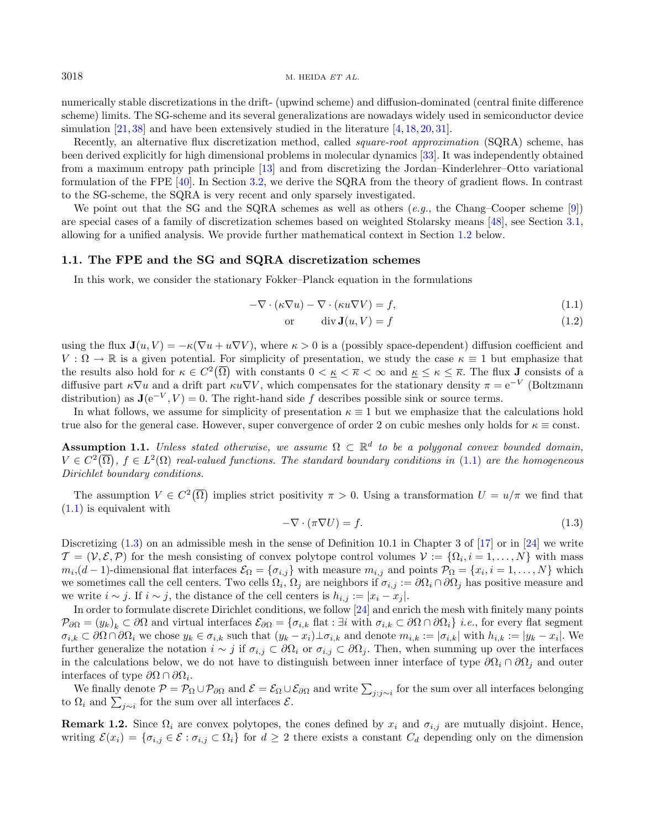numerically stable discretizations in the drift- (upwind scheme) and diffusion-dominated (central finite difference scheme) limits. The SG-scheme and its several generalizations are nowadays widely used in semiconductor device simulation [\[21,](#page-24-2) [38\]](#page-25-3) and have been extensively studied in the literature [\[4,](#page-24-3) [18,](#page-24-4) [20,](#page-24-5) [31\]](#page-24-6).

Recently, an alternative flux discretization method, called *square-root approximation* (SQRA) scheme, has been derived explicitly for high dimensional problems in molecular dynamics [\[33\]](#page-25-4). It was independently obtained from a maximum entropy path principle [\[13\]](#page-24-7) and from discretizing the Jordan–Kinderlehrer–Otto variational formulation of the FPE [\[40\]](#page-25-5). In Section [3.2,](#page-11-0) we derive the SQRA from the theory of gradient flows. In contrast to the SG-scheme, the SQRA is very recent and only sparsely investigated.

We point out that the SG and the SQRA schemes as well as others  $(e.a.,\,$  the Chang–Cooper scheme [\[9\]](#page-24-8)) are special cases of a family of discretization schemes based on weighted Stolarsky means [\[48\]](#page-25-6), see Section [3.1,](#page-11-1) allowing for a unified analysis. We provide further mathematical context in Section [1.2](#page-4-0) below.

## 1.1. The FPE and the SG and SQRA discretization schemes

In this work, we consider the stationary Fokker–Planck equation in the formulations

<span id="page-1-1"></span>
$$
-\nabla \cdot (\kappa \nabla u) - \nabla \cdot (\kappa u \nabla V) = f,\tag{1.1}
$$

<span id="page-1-3"></span><span id="page-1-0"></span>
$$
or \t\t div J(u, V) = f \t\t(1.2)
$$

using the flux  $J(u, V) = -\kappa(\nabla u + u\nabla V)$ , where  $\kappa > 0$  is a (possibly space-dependent) diffusion coefficient and  $V : \Omega \to \mathbb{R}$  is a given potential. For simplicity of presentation, we study the case  $\kappa \equiv 1$  but emphasize that the results also hold for  $\kappa \in C^2(\overline{\Omega})$  with constants  $0 < \underline{\kappa} < \overline{\kappa} < \infty$  and  $\underline{\kappa} \leq \kappa \leq \overline{\kappa}$ . The flux **J** consists of a diffusive part  $\kappa \nabla u$  and a drift part  $\kappa u \nabla V$ , which compensates for the stationary density  $\pi = e^{-V}$  (Boltzmann distribution) as  $\mathbf{J}(e^{-V}, V) = 0$ . The right-hand side f describes possible sink or source terms.

In what follows, we assume for simplicity of presentation  $\kappa \equiv 1$  but we emphasize that the calculations hold true also for the general case. However, super convergence of order 2 on cubic meshes only holds for  $\kappa \equiv \text{const.}$ 

**Assumption 1.1.** Unless stated otherwise, we assume  $\Omega \subset \mathbb{R}^d$  to be a polygonal convex bounded domain,  $V \in C^2(\overline{\Omega}), f \in L^2(\Omega)$  real-valued functions. The standard boundary conditions in  $(1.1)$  are the homogeneous Dirichlet boundary conditions.

The assumption  $V \in C^2(\overline{\Omega})$  implies strict positivity  $\pi > 0$ . Using a transformation  $U = u/\pi$  we find that  $(1.1)$  is equivalent with

<span id="page-1-2"></span>
$$
-\nabla \cdot (\pi \nabla U) = f. \tag{1.3}
$$

Discretizing  $(1.3)$  on an admissible mesh in the sense of Definition 10.1 in Chapter 3 of  $|17|$  or in  $|24|$  we write  $\mathcal{T} = (\mathcal{V}, \mathcal{E}, \mathcal{P})$  for the mesh consisting of convex polytope control volumes  $\mathcal{V} := \{\Omega_i, i = 1, ..., N\}$  with mass  $m_i$ , $(d-1)$ -dimensional flat interfaces  $\mathcal{E}_{\Omega} = \{\sigma_{i,j}\}\$  with measure  $m_{i,j}$  and points  $\mathcal{P}_{\Omega} = \{x_i, i = 1, \ldots, N\}\$  which we sometimes call the cell centers. Two cells  $\Omega_i$ ,  $\Omega_j$  are neighbors if  $\sigma_{i,j} := \partial \Omega_i \cap \partial \Omega_j$  has positive measure and we write  $i \sim j$ . If  $i \sim j$ , the distance of the cell centers is  $h_{i,j} := |x_i - x_j|$ .

In order to formulate discrete Dirichlet conditions, we follow [\[24\]](#page-24-10) and enrich the mesh with finitely many points  $\mathcal{P}_{\partial\Omega} = (y_k)_k \subset \partial\Omega$  and virtual interfaces  $\mathcal{E}_{\partial\Omega} = \{\sigma_{i,k} \text{ flat} : \exists i \text{ with } \sigma_{i,k} \subset \partial\Omega \cap \partial\Omega_i\}$  i.e., for every flat segment  $\sigma_{i,k} \subset \partial \Omega \cap \partial \Omega_i$  we chose  $y_k \in \sigma_{i,k}$  such that  $(y_k - x_i) \perp \sigma_{i,k}$  and denote  $m_{i,k} := |\sigma_{i,k}|$  with  $h_{i,k} := |y_k - x_i|$ . We further generalize the notation  $i \sim j$  if  $\sigma_{i,j} \subset \partial \Omega_i$  or  $\sigma_{i,j} \subset \partial \Omega_j$ . Then, when summing up over the interfaces in the calculations below, we do not have to distinguish between inner interface of type  $\partial\Omega_i \cap \partial\Omega_j$  and outer interfaces of type  $\partial\Omega \cap \partial\Omega_i$ .

We finally denote  $P = P_{\Omega} \cup P_{\partial \Omega}$  and  $\mathcal{E} = \mathcal{E}_{\Omega} \cup \mathcal{E}_{\partial \Omega}$  and write  $\sum_{j:j\sim i}$  for the sum over all interfaces belonging to  $\Omega_i$  and  $\sum_{j\sim i}$  for the sum over all interfaces  $\mathcal{E}$ .

**Remark 1.2.** Since  $\Omega_i$  are convex polytopes, the cones defined by  $x_i$  and  $\sigma_{i,j}$  are mutually disjoint. Hence, writing  $\mathcal{E}(x_i) = \{\sigma_{i,j} \in \mathcal{E} : \sigma_{i,j} \subset \Omega_i\}$  for  $d \geq 2$  there exists a constant  $C_d$  depending only on the dimension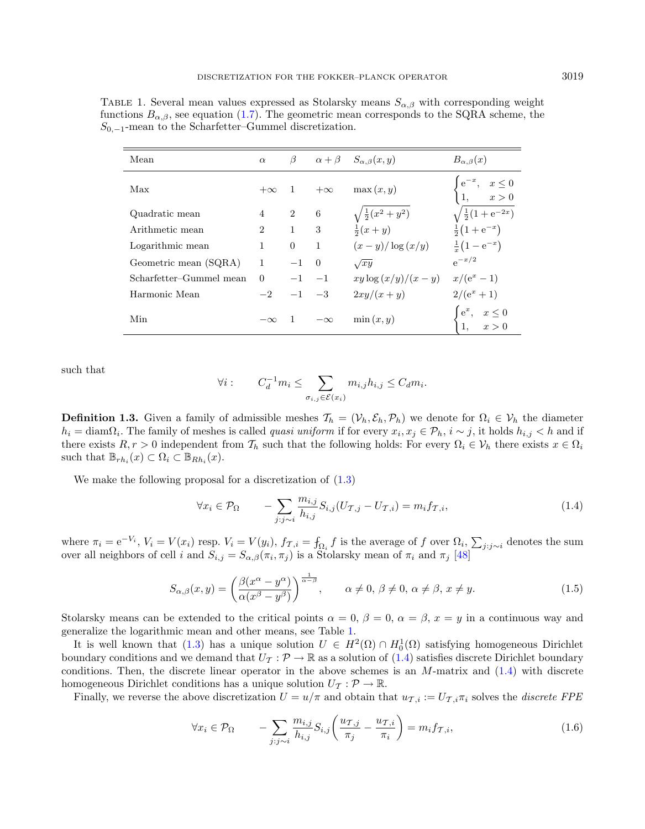<span id="page-2-0"></span>TABLE 1. Several mean values expressed as Stolarsky means  $S_{\alpha,\beta}$  with corresponding weight functions  $B_{\alpha,\beta}$ , see equation [\(1.7\)](#page-3-0). The geometric mean corresponds to the SQRA scheme, the  $S_{0,-1}$ -mean to the Scharfetter–Gummel discretization.

| Mean                    | $\alpha$       | β              |           | $\alpha + \beta$ $S_{\alpha,\beta}(x,y)$            | $B_{\alpha,\beta}(x)$                                            |
|-------------------------|----------------|----------------|-----------|-----------------------------------------------------|------------------------------------------------------------------|
| Max                     | $+\infty$      | $\overline{1}$ | $+\infty$ | $\max(x, y)$                                        | $e^{-x}, \quad x \le 0$<br>1, $x > 0$                            |
| Quadratic mean          | $\overline{4}$ | 2              | 6         | $\sqrt{\frac{1}{2}(x^2+y^2)}$<br>$\frac{1}{2}(x+y)$ | $\sqrt{\frac{1}{2}(1+e^{-2x})}$                                  |
| Arithmetic mean         | $\overline{2}$ | $\mathbf{1}$   | 3         |                                                     | $\frac{1}{2}(1+e^{-x})$                                          |
| Logarithmic mean        | 1              | $\overline{0}$ | 1         | $(x-y)/\log(x/y)$                                   | $\frac{1}{x}(1-e^{-x})$                                          |
| Geometric mean (SQRA)   |                | $-1$           | $\Omega$  | $\sqrt{xy}$                                         | $e^{-x/2}$                                                       |
| Scharfetter-Gummel mean | $\Omega$       | $-1$           | $-1$      | $xy \log (x/y)/(x-y)$                               | $x/(e^x-1)$                                                      |
| Harmonic Mean           | $-2$           | $-1$           | $-3$      | $2xy/(x+y)$                                         | $2/(e^x+1)$                                                      |
| Min                     | $-\infty$      |                | $-\infty$ | $\min(x, y)$                                        | $e^x$ ,<br>$\begin{aligned}\nx &\leq 0 \\ x &> 0\n\end{aligned}$ |

such that

<span id="page-2-1"></span>
$$
\forall i: \qquad C_d^{-1} m_i \leq \sum_{\sigma_{i,j} \in \mathcal{E}(x_i)} m_{i,j} h_{i,j} \leq C_d m_i.
$$

<span id="page-2-3"></span>**Definition 1.3.** Given a family of admissible meshes  $\mathcal{T}_h = (\mathcal{V}_h, \mathcal{E}_h, \mathcal{P}_h)$  we denote for  $\Omega_i \in \mathcal{V}_h$  the diameter  $h_i = \text{diam}\Omega_i$ . The family of meshes is called *quasi uniform* if for every  $x_i, x_j \in \mathcal{P}_h$ ,  $i \sim j$ , it holds  $h_{i,j} < h$  and if there exists  $R, r > 0$  independent from  $\mathcal{T}_h$  such that the following holds: For every  $\Omega_i \in \mathcal{V}_h$  there exists  $x \in \Omega_i$ such that  $\mathbb{B}_{rh_i}(x) \subset \Omega_i \subset \mathbb{B}_{Rh_i}(x)$ .

We make the following proposal for a discretization of  $(1.3)$ 

<span id="page-2-2"></span>
$$
\forall x_i \in \mathcal{P}_{\Omega} \qquad -\sum_{j:j \sim i} \frac{m_{i,j}}{h_{i,j}} S_{i,j} (U_{\mathcal{T},j} - U_{\mathcal{T},i}) = m_i f_{\mathcal{T},i}, \tag{1.4}
$$

where  $\pi_i = e^{-V_i}$ ,  $V_i = V(x_i)$  resp.  $V_i = V(y_i)$ ,  $f_{\mathcal{T}, i} = \int_{\Omega_i} f$  is the average of f over  $\Omega_i$ ,  $\sum_{j:j \sim i}$  denotes the sum over all neighbors of cell *i* and  $S_{i,j} = S_{\alpha,\beta}(\pi_i, \pi_j)$  is a Stolarsky mean of  $\pi_i$  and  $\pi_j$  [\[48\]](#page-25-6)

$$
S_{\alpha,\beta}(x,y) = \left(\frac{\beta(x^{\alpha} - y^{\alpha})}{\alpha(x^{\beta} - y^{\beta})}\right)^{\frac{1}{\alpha-\beta}}, \qquad \alpha \neq 0, \ \beta \neq 0, \ \alpha \neq \beta, \ x \neq y. \tag{1.5}
$$

Stolarsky means can be extended to the critical points  $\alpha = 0$ ,  $\beta = 0$ ,  $\alpha = \beta$ ,  $x = y$  in a continuous way and generalize the logarithmic mean and other means, see Table [1.](#page-2-0)

It is well known that [\(1.3\)](#page-1-1) has a unique solution  $U \in H^2(\Omega) \cap H_0^1(\Omega)$  satisfying homogeneous Dirichlet boundary conditions and we demand that  $U_{\mathcal{T}} : \mathcal{P} \to \mathbb{R}$  as a solution of [\(1.4\)](#page-2-1) satisfies discrete Dirichlet boundary conditions. Then, the discrete linear operator in the above schemes is an  $M$ -matrix and  $(1.4)$  with discrete homogeneous Dirichlet conditions has a unique solution  $U_{\mathcal{I}}: \mathcal{P} \to \mathbb{R}$ .

Finally, we reverse the above discretization  $U = u/\pi$  and obtain that  $u_{\mathcal{T},i} := U_{\mathcal{T},i}\pi_i$  solves the *discrete FPE* 

$$
\forall x_i \in \mathcal{P}_{\Omega} \qquad -\sum_{j:j \sim i} \frac{m_{i,j}}{h_{i,j}} S_{i,j} \left( \frac{u_{\mathcal{T},j}}{\pi_j} - \frac{u_{\mathcal{T},i}}{\pi_i} \right) = m_i f_{\mathcal{T},i}, \tag{1.6}
$$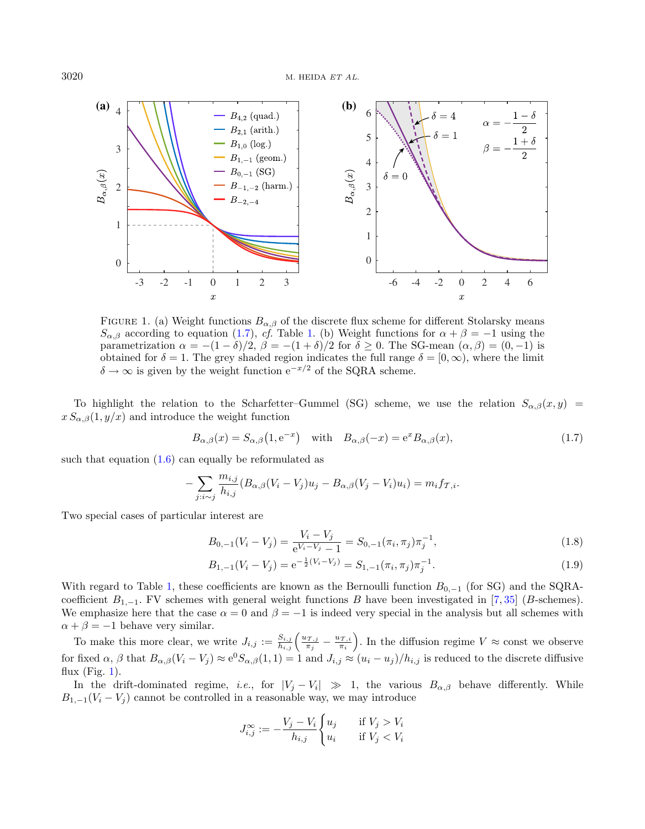<span id="page-3-1"></span>

FIGURE 1. (a) Weight functions  $B_{\alpha,\beta}$  of the discrete flux scheme for different Stolarsky means  $S_{\alpha,\beta}$  according to equation [\(1.7\)](#page-3-0), cf. Table [1.](#page-2-0) (b) Weight functions for  $\alpha + \beta = -1$  using the parametrization  $\alpha = -(1 - \delta)/2$ ,  $\beta = -(1 + \delta)/2$  for  $\delta \ge 0$ . The SG-mean  $(\alpha, \beta) = (0, -1)$  is obtained for  $\delta = 1$ . The grey shaded region indicates the full range  $\delta = [0, \infty)$ , where the limit  $\delta \to \infty$  is given by the weight function  $e^{-x/2}$  of the SORA scheme.

To highlight the relation to the Scharfetter–Gummel (SG) scheme, we use the relation  $S_{\alpha,\beta}(x, y)$  =  $x S_{\alpha,\beta}(1, y/x)$  and introduce the weight function

<span id="page-3-0"></span>
$$
B_{\alpha,\beta}(x) = S_{\alpha,\beta}(1, e^{-x}) \quad \text{with} \quad B_{\alpha,\beta}(-x) = e^x B_{\alpha,\beta}(x), \tag{1.7}
$$

such that equation  $(1.6)$  can equally be reformulated as

$$
-\sum_{j:i\sim j}\frac{m_{i,j}}{h_{i,j}}(B_{\alpha,\beta}(V_i-V_j)u_j-B_{\alpha,\beta}(V_j-V_i)u_i)=m_if_{\mathcal{T},i}.
$$

Two special cases of particular interest are

$$
B_{0,-1}(V_i - V_j) = \frac{V_i - V_j}{e^{V_i - V_j} - 1} = S_{0,-1}(\pi_i, \pi_j) \pi_j^{-1},
$$
\n(1.8)

$$
B_{1,-1}(V_i - V_j) = e^{-\frac{1}{2}(V_i - V_j)} = S_{1,-1}(\pi_i, \pi_j)\pi_j^{-1}.
$$
\n(1.9)

With regard to Table [1,](#page-2-0) these coefficients are known as the Bernoulli function  $B_{0,-1}$  (for SG) and the SQRAcoefficient  $B_{1,-1}$ . FV schemes with general weight functions  $B$  have been investigated in [\[7,](#page-24-11)[35\]](#page-25-7) ( $B$ -schemes). We emphasize here that the case  $\alpha = 0$  and  $\beta = -1$  is indeed very special in the analysis but all schemes with  $\alpha + \beta = -1$  behave very similar.

To make this more clear, we write  $J_{i,j} := \frac{S_{i,j}}{h_{i,j}} \left( \frac{u_{\mathcal{T},j}}{\pi_j} \right)$  $\frac{d\tau_{,j}}{\pi_j}-\frac{u_{\mathcal{T},i}}{\pi_i}$  $(\frac{\partial \tau_{,i}}{\pi_i})$ . In the diffusion regime  $V \approx$  const we observe for fixed  $\alpha$ ,  $\beta$  that  $B_{\alpha,\beta}(V_i - V_j) \approx e^0 S_{\alpha,\beta}(1,1) = 1$  and  $J_{i,j} \approx (u_i - u_j)/h_{i,j}$  is reduced to the discrete diffusive flux  $(Fig. 1)$  $(Fig. 1)$ .

In the drift-dominated regime, *i.e.*, for  $|V_j - V_i| \gg 1$ , the various  $B_{\alpha,\beta}$  behave differently. While  $B_{1,-1}(V_i - V_j)$  cannot be controlled in a reasonable way, we may introduce

$$
J_{i,j}^{\infty} := -\frac{V_j - V_i}{h_{i,j}} \begin{cases} u_j & \text{if } V_j > V_i \\ u_i & \text{if } V_j < V_i \end{cases}
$$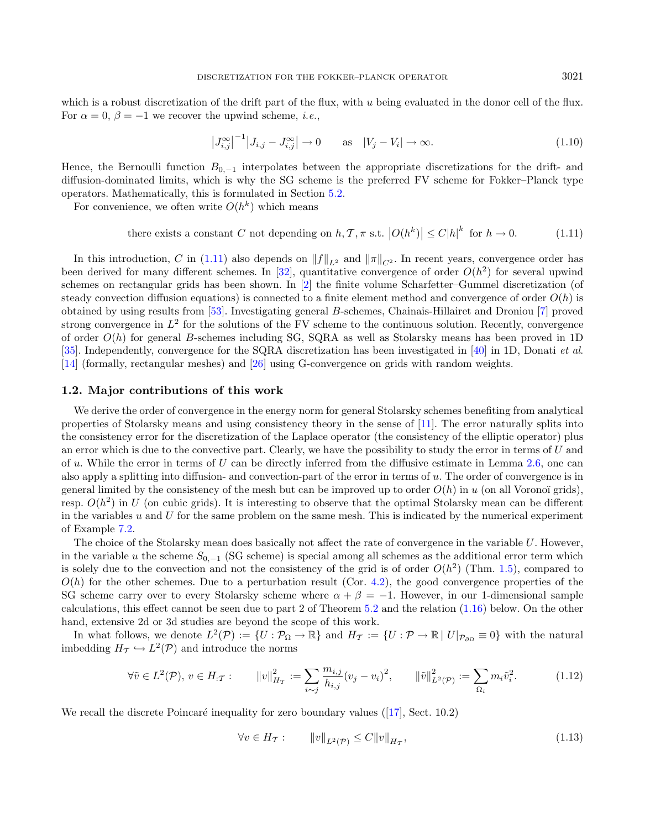which is a robust discretization of the drift part of the flux, with  $u$  being evaluated in the donor cell of the flux. For  $\alpha = 0$ ,  $\beta = -1$  we recover the upwind scheme, *i.e.*,

<span id="page-4-1"></span>
$$
\left|J_{i,j}^{\infty}\right|^{-1}\left|J_{i,j}-J_{i,j}^{\infty}\right| \to 0 \quad \text{as} \quad |V_j - V_i| \to \infty. \tag{1.10}
$$

Hence, the Bernoulli function  $B_{0,-1}$  interpolates between the appropriate discretizations for the drift- and diffusion-dominated limits, which is why the SG scheme is the preferred FV scheme for Fokker–Planck type operators. Mathematically, this is formulated in Section [5.2.](#page-15-0)

For convenience, we often write  $O(h^k)$  which means

there exists a constant C not depending on h, 
$$
\mathcal{T}
$$
,  $\pi$  s.t.  $|O(h^k)| \leq C|h|^k$  for  $h \to 0$ . (1.11)

In this introduction, C in [\(1.11\)](#page-4-1) also depends on  $||f||_{L^2}$  and  $||\pi||_{C^2}$ . In recent years, convergence order has been derived for many different schemes. In [\[32\]](#page-25-8), quantitative convergence of order  $O(h^2)$  for several upwind schemes on rectangular grids has been shown. In [\[2\]](#page-24-12) the finite volume Scharfetter–Gummel discretization (of steady convection diffusion equations) is connected to a finite element method and convergence of order  $O(h)$  is obtained by using results from  $[53]$ . Investigating general B-schemes, Chainais-Hillairet and Droniou  $[7]$  proved strong convergence in  $L^2$  for the solutions of the FV scheme to the continuous solution. Recently, convergence of order  $O(h)$  for general B-schemes including SG, SQRA as well as Stolarsky means has been proved in 1D [\[35\]](#page-25-7). Independently, convergence for the SQRA discretization has been investigated in [\[40\]](#page-25-5) in 1D, Donati et al. [\[14\]](#page-24-13) (formally, rectangular meshes) and [\[26\]](#page-24-14) using G-convergence on grids with random weights.

#### <span id="page-4-0"></span>1.2. Major contributions of this work

We derive the order of convergence in the energy norm for general Stolarsky schemes benefiting from analytical properties of Stolarsky means and using consistency theory in the sense of [\[11\]](#page-24-15). The error naturally splits into the consistency error for the discretization of the Laplace operator (the consistency of the elliptic operator) plus an error which is due to the convective part. Clearly, we have the possibility to study the error in terms of  $U$  and of u. While the error in terms of U can be directly inferred from the diffusive estimate in Lemma [2.6,](#page-8-0) one can also apply a splitting into diffusion- and convection-part of the error in terms of  $u$ . The order of convergence is in general limited by the consistency of the mesh but can be improved up to order  $O(h)$  in u (on all Voronoï grids), resp.  $O(h^2)$  in U (on cubic grids). It is interesting to observe that the optimal Stolarsky mean can be different in the variables  $u$  and  $U$  for the same problem on the same mesh. This is indicated by the numerical experiment of Example [7.2.](#page-19-0)

<span id="page-4-3"></span>The choice of the Stolarsky mean does basically not affect the rate of convergence in the variable  $U$ . However, in the variable u the scheme  $S_{0,-1}$  (SG scheme) is special among all schemes as the additional error term which is solely due to the convection and not the consistency of the grid is of order  $O(h^2)$  (Thm. [1.5\)](#page-5-0), compared to  $O(h)$  for the other schemes. Due to a perturbation result (Cor. [4.2\)](#page-14-0), the good convergence properties of the SG scheme carry over to every Stolarsky scheme where  $\alpha + \beta = -1$ . However, in our 1-dimensional sample calculations, this effect cannot be seen due to part 2 of Theorem [5.2](#page-15-1) and the relation [\(1.16\)](#page-5-1) below. On the other hand, extensive 2d or 3d studies are beyond the scope of this work.

In what follows, we denote  $L^2(\mathcal{P}) := \{U : \mathcal{P}_{\Omega} \to \mathbb{R}\}\$  and  $H_{\mathcal{T}} := \{U : \mathcal{P} \to \mathbb{R} \mid U|_{\mathcal{P}_{\partial\Omega}} \equiv 0\}$  with the natural imbedding  $H_{\mathcal{I}} \hookrightarrow L^2(\mathcal{P})$  and introduce the norms

$$
\forall \tilde{v} \in L^{2}(\mathcal{P}), v \in H_{:T}: \qquad \|v\|_{H_{T}}^{2} := \sum_{i \sim j} \frac{m_{i,j}}{h_{i,j}} (v_{j} - v_{i})^{2}, \qquad \|\tilde{v}\|_{L^{2}(\mathcal{P})}^{2} := \sum_{\Omega_{i}} m_{i} \tilde{v}_{i}^{2}.
$$
 (1.12)

Werecall the discrete Poincaré inequality for zero boundary values  $([17], \text{ Sect. } 10.2)$  $([17], \text{ Sect. } 10.2)$  $([17], \text{ Sect. } 10.2)$ 

<span id="page-4-2"></span>
$$
\forall v \in H_T: \qquad \|v\|_{L^2(\mathcal{P})} \le C \|v\|_{H_T},\tag{1.13}
$$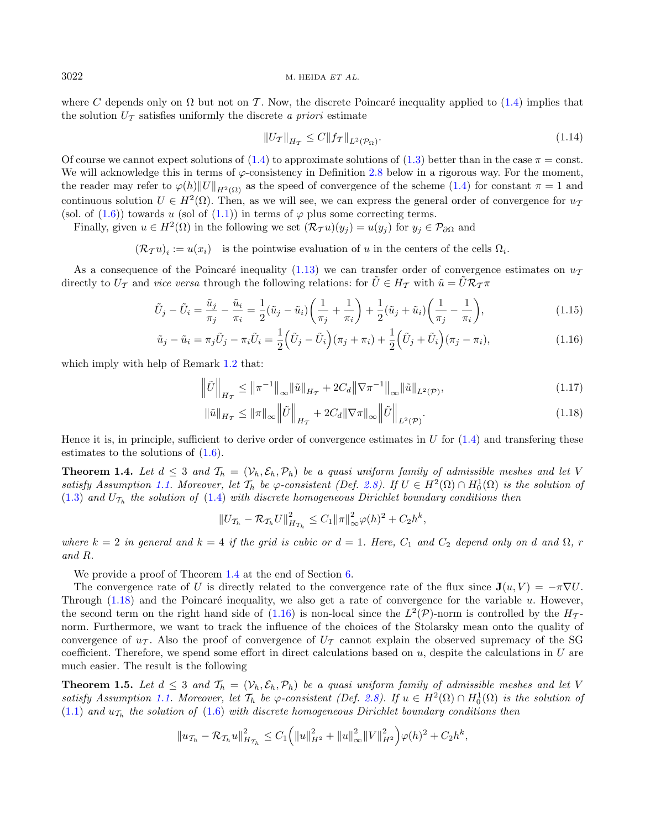where C depends only on  $\Omega$  but not on T. Now, the discrete Poincaré inequality applied to [\(1.4\)](#page-2-1) implies that the solution  $U_T$  satisfies uniformly the discrete a priori estimate

<span id="page-5-5"></span><span id="page-5-4"></span><span id="page-5-3"></span><span id="page-5-1"></span>
$$
||U_{\mathcal{T}}||_{H_{\mathcal{T}}} \le C||f_{\mathcal{T}}||_{L^{2}(\mathcal{P}_{\Omega})}.
$$
\n(1.14)

Of course we cannot expect solutions of  $(1.4)$  to approximate solutions of  $(1.3)$  better than in the case  $\pi = \text{const.}$ We will acknowledge this in terms of  $\varphi$ -consistency in Definition [2.8](#page-9-0) below in a rigorous way. For the moment, the reader may refer to  $\varphi(h) \|U\|_{H^2(\Omega)}$  as the speed of convergence of the scheme [\(1.4\)](#page-2-1) for constant  $\pi = 1$  and continuous solution  $U \in H^2(\Omega)$ . Then, as we will see, we can express the general order of convergence for  $u_7$ (sol. of [\(1.6\)](#page-2-2)) towards u (sol of [\(1.1\)](#page-1-0)) in terms of  $\varphi$  plus some correcting terms.

Finally, given  $u \in H^2(\Omega)$  in the following we set  $(\mathcal{R}_{\mathcal{T}} u)(y_j) = u(y_j)$  for  $y_j \in \mathcal{P}_{\partial \Omega}$  and

 $(\mathcal{R}_{\mathcal{T}} u)_i := u(x_i)$  is the pointwise evaluation of u in the centers of the cells  $\Omega_i$ .

As a consequence of the Poincaré inequality [\(1.13\)](#page-4-2) we can transfer order of convergence estimates on  $u_{\tau}$ directly to  $U_T$  and *vice versa* through the following relations: for  $\tilde{U} \in H_T$  with  $\tilde{u} = \tilde{U} \mathcal{R}_T \pi$ 

<span id="page-5-2"></span>
$$
\tilde{U}_j - \tilde{U}_i = \frac{\tilde{u}_j}{\pi_j} - \frac{\tilde{u}_i}{\pi_i} = \frac{1}{2} (\tilde{u}_j - \tilde{u}_i) \left( \frac{1}{\pi_j} + \frac{1}{\pi_i} \right) + \frac{1}{2} (\tilde{u}_j + \tilde{u}_i) \left( \frac{1}{\pi_j} - \frac{1}{\pi_i} \right),\tag{1.15}
$$

$$
\tilde{u}_j - \tilde{u}_i = \pi_j \tilde{U}_j - \pi_i \tilde{U}_i = \frac{1}{2} \left( \tilde{U}_j - \tilde{U}_i \right) (\pi_j + \pi_i) + \frac{1}{2} \left( \tilde{U}_j + \tilde{U}_i \right) (\pi_j - \pi_i),\tag{1.16}
$$

which imply with help of Remark [1.2](#page-1-2) that:

$$
\left\|\tilde{U}\right\|_{H_{\mathcal{T}}} \le \left\|\pi^{-1}\right\|_{\infty} \left\|\tilde{u}\right\|_{H_{\mathcal{T}}} + 2C_d \left\|\nabla \pi^{-1}\right\|_{\infty} \left\|\tilde{u}\right\|_{L^2(\mathcal{P})},\tag{1.17}
$$

$$
\left\|\tilde{u}\right\|_{H_{\mathcal{T}}} \leq \left\|\pi\right\|_{\infty} \left\|\tilde{U}\right\|_{H_{\mathcal{T}}} + 2C_d \left\|\nabla\pi\right\|_{\infty} \left\|\tilde{U}\right\|_{L^2(\mathcal{P})}.\tag{1.18}
$$

Hence it is, in principle, sufficient to derive order of convergence estimates in  $U$  for  $(1.4)$  and transfering these estimates to the solutions of  $(1.6)$ .

**Theorem 1.4.** Let  $d \leq 3$  and  $T_h = (\mathcal{V}_h, \mathcal{E}_h, \mathcal{P}_h)$  be a quasi uniform family of admissible meshes and let V satisfy Assumption [1.1.](#page-1-3) Moreover, let  $\mathcal{T}_h$  be  $\varphi$ -consistent (Def. [2.8\)](#page-9-0). If  $U \in H^2(\Omega) \cap H_0^1(\Omega)$  is the solution of  $(1.3)$  and  $U_{\mathcal{T}_h}$  the solution of  $(1.4)$  with discrete homogeneous Dirichlet boundary conditions then

<span id="page-5-0"></span>
$$
||U_{\mathcal{T}_h} - \mathcal{R}_{\mathcal{T}_h} U||_{H_{\mathcal{T}_h}}^2 \leq C_1 ||\pi||_{\infty}^2 \varphi(h)^2 + C_2 h^k,
$$

where  $k = 2$  in general and  $k = 4$  if the grid is cubic or  $d = 1$ . Here,  $C_1$  and  $C_2$  depend only on d and  $\Omega$ , r and R.

We provide a proof of Theorem [1.4](#page-5-2) at the end of Section [6.](#page-17-0)

The convergence rate of U is directly related to the convergence rate of the flux since  $\mathbf{J}(u, V) = -\pi \nabla U$ . Through  $(1.18)$  and the Poincaré inequality, we also get a rate of convergence for the variable  $u$ . However, the second term on the right hand side of  $(1.16)$  is non-local since the  $L^2(\mathcal{P})$ -norm is controlled by the  $H_{\mathcal{T}}$ norm. Furthermore, we want to track the influence of the choices of the Stolarsky mean onto the quality of convergence of  $u_{\mathcal{T}}$ . Also the proof of convergence of  $U_{\mathcal{T}}$  cannot explain the observed supremacy of the SG coefficient. Therefore, we spend some effort in direct calculations based on  $u$ , despite the calculations in  $U$  are much easier. The result is the following

**Theorem 1.5.** Let  $d \leq 3$  and  $\mathcal{T}_h = (\mathcal{V}_h, \mathcal{E}_h, \mathcal{P}_h)$  be a quasi uniform family of admissible meshes and let V satisfy Assumption [1.1.](#page-1-3) Moreover, let  $\mathcal{T}_h$  be  $\varphi$ -consistent (Def. [2.8\)](#page-9-0). If  $u \in H^2(\Omega) \cap H_0^1(\Omega)$  is the solution of  $(1.1)$  and  $u_{\mathcal{T}_h}$  the solution of  $(1.6)$  with discrete homogeneous Dirichlet boundary conditions then

$$
||u_{\mathcal{T}_h} - \mathcal{R}_{\mathcal{T}_h} u||_{H_{\mathcal{T}_h}}^2 \leq C_1 \Big( ||u||_{H^2}^2 + ||u||_{\infty}^2 ||V||_{H^2}^2 \Big) \varphi(h)^2 + C_2 h^k,
$$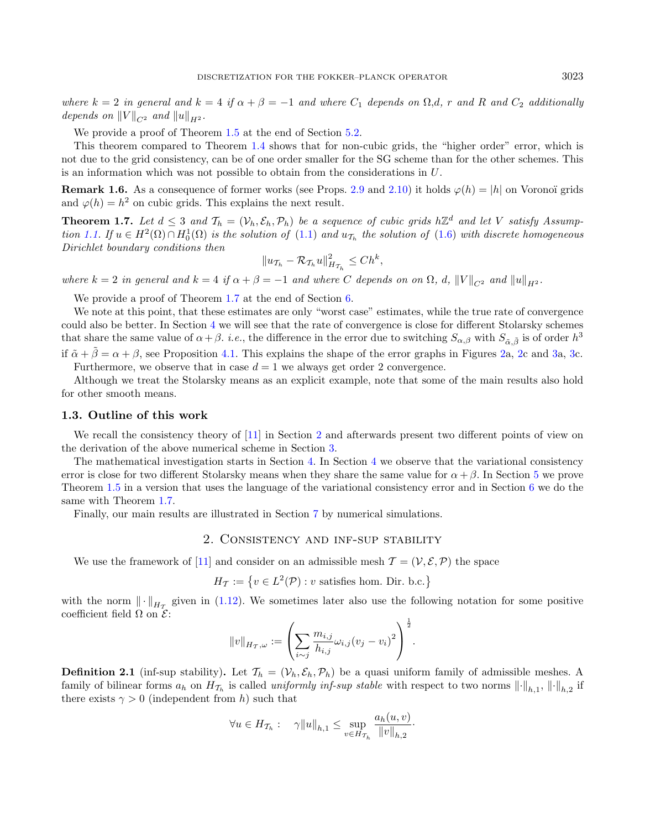where  $k = 2$  in general and  $k = 4$  if  $\alpha + \beta = -1$  and where  $C_1$  depends on  $\Omega, d$ , r and R and  $C_2$  additionally depends on  $||V||_{C^2}$  and  $||u||_{H^2}$ .

We provide a proof of Theorem [1.5](#page-5-0) at the end of Section [5.2.](#page-15-0)

This theorem compared to Theorem [1.4](#page-5-2) shows that for non-cubic grids, the "higher order" error, which is not due to the grid consistency, can be of one order smaller for the SG scheme than for the other schemes. This is an information which was not possible to obtain from the considerations in  $U$ .

**Remark 1.6.** As a consequence of former works (see Props. [2.9](#page-9-1) and [2.10\)](#page-9-2) it holds  $\varphi(h) = |h|$  on Voronoï grids and  $\varphi(h) = h^2$  on cubic grids. This explains the next result.

<span id="page-6-0"></span>**Theorem 1.7.** Let  $d \leq 3$  and  $\mathcal{T}_h = (\mathcal{V}_h, \mathcal{E}_h, \mathcal{P}_h)$  be a sequence of cubic grids  $h\mathbb{Z}^d$  and let V satisfy Assump-tion [1.1.](#page-1-3) If  $u \in H^2(\Omega) \cap H_0^1(\Omega)$  is the solution of  $(1.1)$  and  $u_{\mathcal{T}_h}$  the solution of  $(1.6)$  with discrete homogeneous Dirichlet boundary conditions then

$$
||u_{\mathcal{T}_h} - \mathcal{R}_{\mathcal{T}_h} u||_{H_{\mathcal{T}_h}}^2 \le Ch^k,
$$

where  $k = 2$  in general and  $k = 4$  if  $\alpha + \beta = -1$  and where C depends on on  $\Omega$ , d,  $||V||_{C^2}$  and  $||u||_{H^2}$ .

We provide a proof of Theorem [1.7](#page-6-0) at the end of Section [6.](#page-17-0)

We note at this point, that these estimates are only "worst case" estimates, while the true rate of convergence could also be better. In Section [4](#page-13-0) we will see that the rate of convergence is close for different Stolarsky schemes that share the same value of  $\alpha + \beta$ , *i.e.*, the difference in the error due to switching  $S_{\alpha,\beta}$  with  $S_{\tilde{\alpha},\tilde{\beta}}$  is of order  $h^3$ if  $\tilde{\alpha} + \tilde{\beta} = \alpha + \beta$ , see Proposition [4.1.](#page-14-1) This explains the shape of the error graphs in Figures [2a](#page-20-0), [2c](#page-20-0) and [3a](#page-21-0), [3c](#page-21-0). Furthermore, we observe that in case  $d = 1$  we always get order 2 convergence.

Although we treat the Stolarsky means as an explicit example, note that some of the main results also hold for other smooth means.

#### 1.3. Outline of this work

We recall the consistency theory of [\[11\]](#page-24-15) in Section [2](#page-6-1) and afterwards present two different points of view on the derivation of the above numerical scheme in Section [3.](#page-11-2)

The mathematical investigation starts in Section [4.](#page-13-0) In Section [4](#page-13-0) we observe that the variational consistency error is close for two different Stolarsky means when they share the same value for  $\alpha + \beta$ . In Section [5](#page-14-2) we prove Theorem [1.5](#page-5-0) in a version that uses the language of the variational consistency error and in Section [6](#page-17-0) we do the same with Theorem [1.7.](#page-6-0)

<span id="page-6-1"></span>Finally, our main results are illustrated in Section [7](#page-19-1) by numerical simulations.

## 2. Consistency and inf-sup stability

We use the framework of [\[11\]](#page-24-15) and consider on an admissible mesh  $\mathcal{T} = (\mathcal{V}, \mathcal{E}, \mathcal{P})$  the space

 $H_{\mathcal{T}} := \{ v \in L^2(\mathcal{P}) : v \text{ satisfies hom. Dir. b.c.} \}$ 

with the norm  $\|\cdot\|_{H_{\mathcal{T}}}$  given in [\(1.12\)](#page-4-3). We sometimes later also use the following notation for some positive coefficient field  $\Omega$  on  $\mathcal{E}$ :

$$
||v||_{H_T,\omega} := \left(\sum_{i \sim j} \frac{m_{i,j}}{h_{i,j}} \omega_{i,j} (v_j - v_i)^2\right)^{\frac{1}{2}}.
$$

**Definition 2.1** (inf-sup stability). Let  $\mathcal{T}_h = (\mathcal{V}_h, \mathcal{E}_h, \mathcal{P}_h)$  be a quasi uniform family of admissible meshes. A family of bilinear forms  $a_h$  on  $H_{\mathcal{T}_h}$  is called *uniformly inf-sup stable* with respect to two norms  $\lVert \cdot \rVert_{h,1}$ ,  $\lVert \cdot \rVert_{h,2}$  if there exists  $\gamma > 0$  (independent from h) such that

$$
\forall u \in H_{\mathcal{T}_h}: \quad \gamma \|u\|_{h,1} \leq \sup_{v \in H_{\mathcal{T}_h}} \frac{a_h(u,v)}{\|v\|_{h,2}}.
$$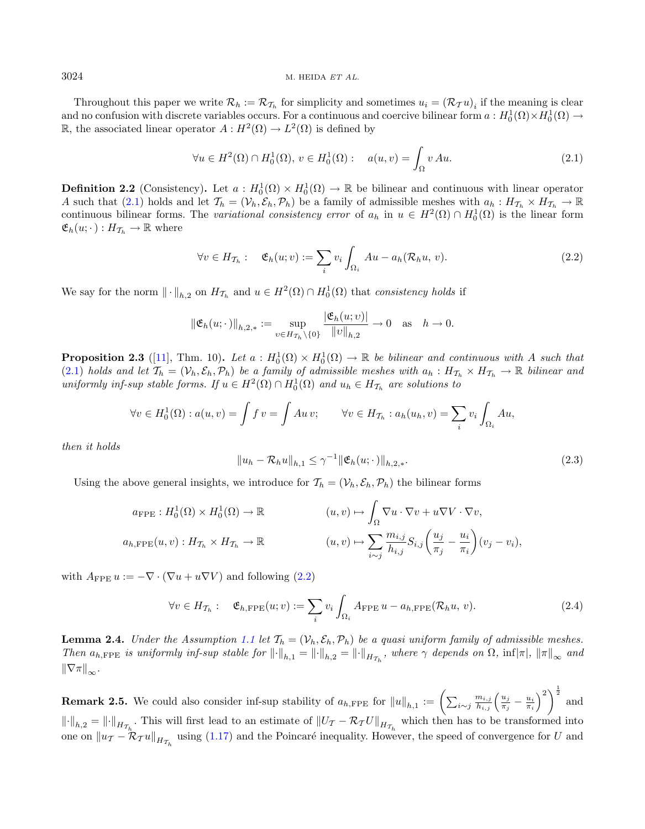Throughout this paper we write  $\mathcal{R}_h := \mathcal{R}_{\mathcal{T}_h}$  for simplicity and sometimes  $u_i = (\mathcal{R}_{\mathcal{T}} u)_i$  if the meaning is clear and no confusion with discrete variables occurs. For a continuous and coercive bilinear form  $a: H_0^1(\Omega) \times H_0^1(\Omega) \to$ R, the associated linear operator  $A: H^2(\Omega) \to L^2(\Omega)$  is defined by

<span id="page-7-1"></span><span id="page-7-0"></span>
$$
\forall u \in H^2(\Omega) \cap H_0^1(\Omega), v \in H_0^1(\Omega): \quad a(u, v) = \int_{\Omega} v \, Au. \tag{2.1}
$$

**Definition 2.2** (Consistency). Let  $a: H_0^1(\Omega) \times H_0^1(\Omega) \to \mathbb{R}$  be bilinear and continuous with linear operator A such that [\(2.1\)](#page-7-0) holds and let  $\mathcal{T}_h = (\mathcal{V}_h, \mathcal{E}_h, \mathcal{P}_h)$  be a family of admissible meshes with  $a_h : H_{\mathcal{T}_h} \times H_{\mathcal{T}_h} \to \mathbb{R}$ continuous bilinear forms. The variational consistency error of  $a_h$  in  $u \in H^2(\Omega) \cap H_0^1(\Omega)$  is the linear form  $\mathfrak{E}_h(u; \cdot) : H_{\mathcal{T}_h} \to \mathbb{R}$  where

$$
\forall v \in H_{\mathcal{T}_h}: \quad \mathfrak{E}_h(u; v) := \sum_i v_i \int_{\Omega_i} Au - a_h(\mathcal{R}_h u, v). \tag{2.2}
$$

<span id="page-7-3"></span>We say for the norm  $\|\cdot\|_{h,2}$  on  $H_{\mathcal{T}_h}$  and  $u \in H^2(\Omega) \cap H_0^1(\Omega)$  that consistency holds if

$$
\|\mathfrak{E}_h(u;\cdot)\|_{h,2,*} := \sup_{v \in H_{\mathcal{T}_h} \setminus \{0\}} \frac{|\mathfrak{E}_h(u;v)|}{\|v\|_{h,2}} \to 0 \quad \text{as} \quad h \to 0.
$$

**Proposition 2.3** ([\[11\]](#page-24-15), Thm. 10). Let  $a : H_0^1(\Omega) \times H_0^1(\Omega) \to \mathbb{R}$  be bilinear and continuous with A such that [\(2.1\)](#page-7-0) holds and let  $\mathcal{T}_h = (\mathcal{V}_h, \mathcal{E}_h, \mathcal{P}_h)$  be a family of admissible meshes with  $a_h : H_{\mathcal{T}_h} \times H_{\mathcal{T}_h} \to \mathbb{R}$  bilinear and uniformly inf-sup stable forms. If  $u \in H^2(\Omega) \cap H_0^1(\Omega)$  and  $u_h \in H_{\mathcal{T}_h}$  are solutions to

$$
\forall v \in H_0^1(\Omega) : a(u, v) = \int f v = \int Au v; \qquad \forall v \in H_{\mathcal{T}_h} : a_h(u_h, v) = \sum_i v_i \int_{\Omega_i} Au,
$$

then it holds

<span id="page-7-4"></span>
$$
||u_h - \mathcal{R}_h u||_{h,1} \le \gamma^{-1} ||\mathfrak{E}_h(u; \cdot)||_{h,2,*}.
$$
\n(2.3)

Using the above general insights, we introduce for  $\mathcal{T}_h = (\mathcal{V}_h, \mathcal{E}_h, \mathcal{P}_h)$  the bilinear forms

$$
a_{\text{FPE}}: H_0^1(\Omega) \times H_0^1(\Omega) \to \mathbb{R}
$$
  
\n
$$
a_{h,\text{FPE}}(u,v): H_{\mathcal{T}_h} \times H_{\mathcal{T}_h} \to \mathbb{R}
$$
  
\n
$$
(u,v) \mapsto \int_{\Omega} \nabla u \cdot \nabla v + u \nabla V \cdot \nabla v,
$$
  
\n
$$
(u,v) \mapsto \sum_{i \sim j} \frac{m_{i,j}}{h_{i,j}} S_{i,j} \left( \frac{u_j}{\pi_j} - \frac{u_i}{\pi_i} \right) (v_j - v_i),
$$

with  $A_{\text{FPE}} u := -\nabla \cdot (\nabla u + u \nabla V)$  and following [\(2.2\)](#page-7-1)

$$
\forall v \in H_{\mathcal{T}_h}: \quad \mathfrak{E}_{h,\text{FPE}}(u;v) := \sum_i v_i \int_{\Omega_i} A_{\text{FPE}} u - a_{h,\text{FPE}}(\mathcal{R}_h u, v). \tag{2.4}
$$

<span id="page-7-2"></span>**Lemma 2.4.** Under the Assumption [1.1](#page-1-3) let  $T_h = (\mathcal{V}_h, \mathcal{E}_h, \mathcal{P}_h)$  be a quasi uniform family of admissible meshes. Then  $a_{h,\text{FPE}}$  is uniformly inf-sup stable for  $\|\cdot\|_{h,1} = \|\cdot\|_{h,2} = \|\cdot\|_{H_{\mathcal{T}_h}}$ , where  $\gamma$  depends on  $\Omega$ ,  $\inf|\pi|$ ,  $\|\pi\|_{\infty}$  and  $\|\nabla\pi\|_{\infty}$ .

**Remark 2.5.** We could also consider inf-sup stability of  $a_{h,\text{FPE}}$  for  $||u||_{h,1} := \left(\sum_{i \sim j} \frac{m_{i,j}}{h_{i,j}} \left(\frac{u_{j}}{\pi_{j}}\right)\right)$  $\left(\frac{u_j}{\pi_j}-\frac{u_i}{\pi_i}\right)^2\right)^{\frac{1}{2}}$  and  $\lVert \cdot \rVert_{h,2} = \lVert \cdot \rVert_{H_{\mathcal{T}_h}}$ . This will first lead to an estimate of  $\lVert U_{\mathcal{T}} - \mathcal{R}_{\mathcal{T}} U \rVert_{H_{\mathcal{T}_h}}$  which then has to be transformed into one on  $\|u_{\mathcal{T}} - \mathcal{R}_{\mathcal{T}}u\|_{H_{\mathcal{T}_h}}$  using [\(1.17\)](#page-5-4) and the Poincaré inequality. However, the speed of convergence for U and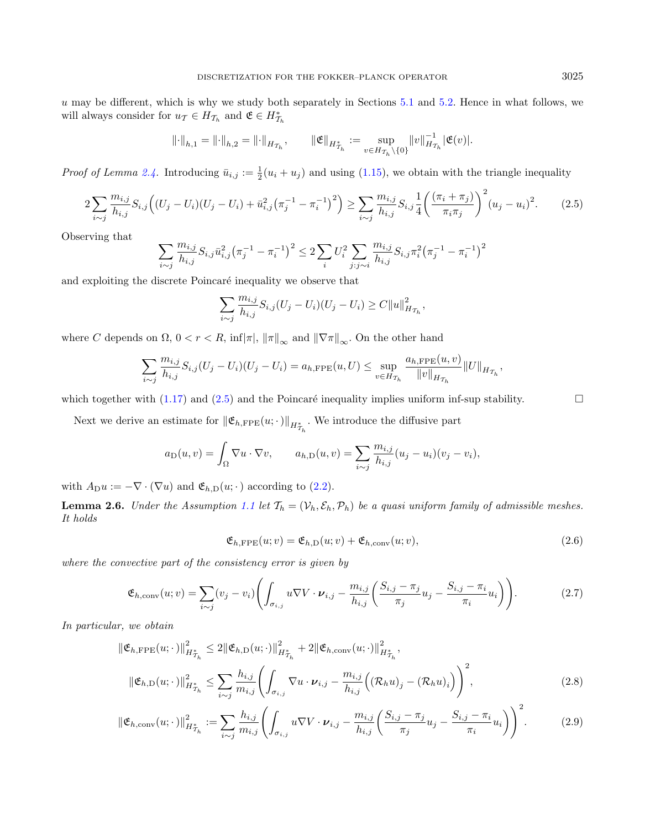$u$  may be different, which is why we study both separately in Sections [5.1](#page-15-2) and [5.2.](#page-15-0) Hence in what follows, we will always consider for  $u_{\mathcal{T}} \in H_{\mathcal{T}_h}$  and  $\mathfrak{E} \in H_{\mathcal{T}_h}^*$ 

$$
\lVert \cdot \rVert_{h,1} = \lVert \cdot \rVert_{h,2} = \lVert \cdot \rVert_{H_{\mathcal{T}_h}}, \qquad \lVert \mathfrak{E} \rVert_{H_{\mathcal{T}_h}^*} := \sup_{v \in H_{\mathcal{T}_h} \backslash \{0\}} \lVert v \rVert_{H_{\mathcal{T}_h}}^{-1} |\mathfrak{E}(v)|.
$$

*Proof of Lemma [2.4.](#page-7-2)* Introducing  $\bar{u}_{i,j} := \frac{1}{2}(u_i + u_j)$  and using [\(1.15\)](#page-5-5), we obtain with the triangle inequality

$$
2\sum_{i\sim j}\frac{m_{i,j}}{h_{i,j}}S_{i,j}\Big((U_j-U_i)(U_j-U_i)+\bar{u}_{i,j}^2(\pi_j^{-1}-\pi_i^{-1})^2\Big)\geq \sum_{i\sim j}\frac{m_{i,j}}{h_{i,j}}S_{i,j}\frac{1}{4}\bigg(\frac{(\pi_i+\pi_j)}{\pi_i\pi_j}\bigg)^2(u_j-u_i)^2.\tag{2.5}
$$

Observing that

$$
\sum_{i \sim j} \frac{m_{i,j}}{h_{i,j}} S_{i,j} \bar{u}_{i,j}^2 \left(\pi_j^{-1} - \pi_i^{-1}\right)^2 \leq 2 \sum_i U_i^2 \sum_{j:j \sim i} \frac{m_{i,j}}{h_{i,j}} S_{i,j} \pi_i^2 \left(\pi_j^{-1} - \pi_i^{-1}\right)^2
$$

and exploiting the discrete Poincaré inequality we observe that

<span id="page-8-0"></span>
$$
\sum_{i \sim j} \frac{m_{i,j}}{h_{i,j}} S_{i,j} (U_j - U_i)(U_j - U_i) \geq C ||u||^2_{H_{\mathcal{T}_h}},
$$

where C depends on  $\Omega$ ,  $0 < r < R$ ,  $\inf_{\pi} |\pi|$ ,  $\|\pi\|_{\infty}$  and  $\|\nabla \pi\|_{\infty}$ . On the other hand

$$
\sum_{i \sim j} \frac{m_{i,j}}{h_{i,j}} S_{i,j}(U_j - U_i)(U_j - U_i) = a_{h,\text{FPE}}(u, U) \le \sup_{v \in H_{\mathcal{T}_h}} \frac{a_{h,\text{FPE}}(u, v)}{\|v\|_{H_{\mathcal{T}_h}}}\|U\|_{H_{\mathcal{T}_h}},
$$

which together with [\(1.17\)](#page-5-4) and [\(2.5\)](#page-8-1) and the Poincaré inequality implies uniform inf-sup stability.  $\square$ 

Next we derive an estimate for  $\|\mathfrak{E}_{h,\text{FPE}}(u;\cdot)\|_{H^*_{\mathcal{I}_h}}$ . We introduce the diffusive part

$$
a_{\text{D}}(u,v) = \int_{\Omega} \nabla u \cdot \nabla v, \qquad a_{h,\text{D}}(u,v) = \sum_{i \sim j} \frac{m_{i,j}}{h_{i,j}} (u_j - u_i)(v_j - v_i),
$$

with  $A_{\text{D}} u := -\nabla \cdot (\nabla u)$  and  $\mathfrak{E}_{h,\text{D}}(u; \cdot)$  according to [\(2.2\)](#page-7-1).

**Lemma 2.6.** Under the Assumption [1.1](#page-1-3) let  $T_h = (\mathcal{V}_h, \mathcal{E}_h, \mathcal{P}_h)$  be a quasi uniform family of admissible meshes. It holds

$$
\mathfrak{E}_{h,\text{FPE}}(u;v) = \mathfrak{E}_{h,\text{D}}(u;v) + \mathfrak{E}_{h,\text{conv}}(u;v),\tag{2.6}
$$

where the convective part of the consistency error is given by

$$
\mathfrak{E}_{h,\text{conv}}(u;v) = \sum_{i \sim j} (v_j - v_i) \left( \int_{\sigma_{i,j}} u \nabla V \cdot \boldsymbol{\nu}_{i,j} - \frac{m_{i,j}}{h_{i,j}} \left( \frac{S_{i,j} - \pi_j}{\pi_j} u_j - \frac{S_{i,j} - \pi_i}{\pi_i} u_i \right) \right).
$$
(2.7)

In particular, we obtain

$$
\|\mathfrak{E}_{h,\text{FPE}}(u;\cdot)\|_{H_{\mathcal{T}_h}^*}^2 \le 2 \|\mathfrak{E}_{h,\text{D}}(u;\cdot)\|_{H_{\mathcal{T}_h}^*}^2 + 2 \|\mathfrak{E}_{h,\text{conv}}(u;\cdot)\|_{H_{\mathcal{T}_h}^*}^2,
$$
  

$$
\|\mathfrak{E}_{h,\text{D}}(u;\cdot)\|_{H_{\mathcal{T}_h}^*}^2 \le \sum_{i \sim j} \frac{h_{i,j}}{m_{i,j}} \left( \int_{\sigma_{i,j}} \nabla u \cdot \boldsymbol{\nu}_{i,j} - \frac{m_{i,j}}{h_{i,j}} \left( (\mathcal{R}_h u)_j - (\mathcal{R}_h u)_i \right) \right)^2,
$$
 (2.8)

$$
\|\mathfrak{E}_{h,\text{conv}}(u;\cdot)\|_{H_{T_h}^*}^2 := \sum_{i \sim j} \frac{h_{i,j}}{m_{i,j}} \left( \int_{\sigma_{i,j}} u \nabla V \cdot \boldsymbol{\nu}_{i,j} - \frac{m_{i,j}}{h_{i,j}} \left( \frac{S_{i,j} - \pi_j}{\pi_j} u_j - \frac{S_{i,j} - \pi_i}{\pi_i} u_i \right) \right)^2.
$$
 (2.9)

<span id="page-8-3"></span><span id="page-8-2"></span><span id="page-8-1"></span>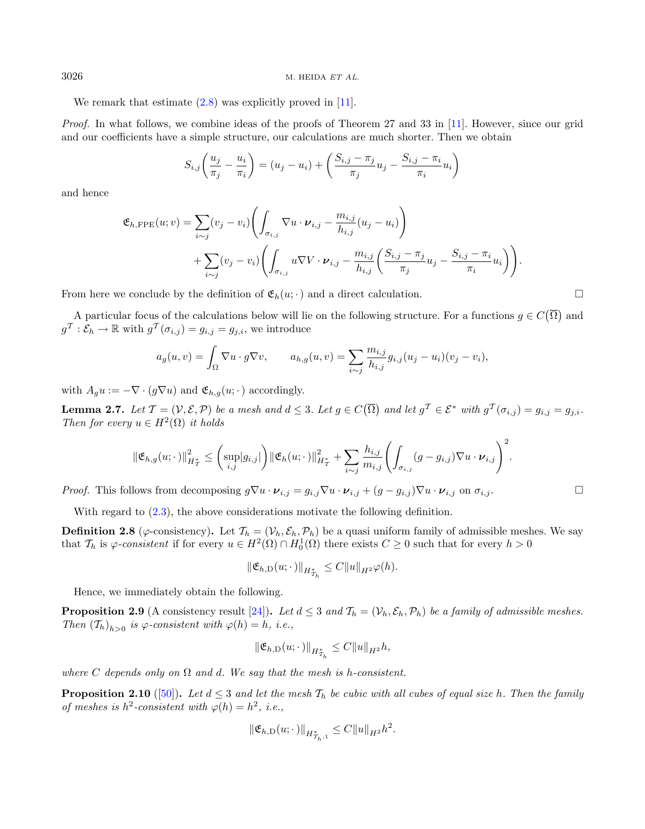We remark that estimate  $(2.8)$  was explicitly proved in [\[11\]](#page-24-15).

Proof. In what follows, we combine ideas of the proofs of Theorem 27 and 33 in [\[11\]](#page-24-15). However, since our grid and our coefficients have a simple structure, our calculations are much shorter. Then we obtain

<span id="page-9-3"></span>
$$
S_{i,j}\left(\frac{u_j}{\pi_j} - \frac{u_i}{\pi_i}\right) = (u_j - u_i) + \left(\frac{S_{i,j} - \pi_j}{\pi_j}u_j - \frac{S_{i,j} - \pi_i}{\pi_i}u_i\right)
$$

and hence

$$
\mathfrak{E}_{h,\text{FPE}}(u; v) = \sum_{i \sim j} (v_j - v_i) \left( \int_{\sigma_{i,j}} \nabla u \cdot \boldsymbol{\nu}_{i,j} - \frac{m_{i,j}}{h_{i,j}} (u_j - u_i) \right) \n+ \sum_{i \sim j} (v_j - v_i) \left( \int_{\sigma_{i,j}} u \nabla V \cdot \boldsymbol{\nu}_{i,j} - \frac{m_{i,j}}{h_{i,j}} \left( \frac{S_{i,j} - \pi_j}{\pi_j} u_j - \frac{S_{i,j} - \pi_i}{\pi_i} u_i \right) \right).
$$

From here we conclude by the definition of  $\mathfrak{E}_h(u; \cdot)$  and a direct calculation.

A particular focus of the calculations below will lie on the following structure. For a functions  $g \in C(\overline{\Omega})$  and  $g^{\mathcal{T}}: \mathcal{E}_h \to \mathbb{R}$  with  $g^{\mathcal{T}}(\sigma_{i,j}) = g_{i,j} = g_{j,i}$ , we introduce

$$
a_g(u,v) = \int_{\Omega} \nabla u \cdot g \nabla v, \qquad a_{h,g}(u,v) = \sum_{i \sim j} \frac{m_{i,j}}{h_{i,j}} g_{i,j}(u_j - u_i)(v_j - v_i),
$$

with  $A_g u := -\nabla \cdot (g \nabla u)$  and  $\mathfrak{E}_{h,g}(u; \cdot)$  accordingly.

**Lemma 2.7.** Let  $\mathcal{T} = (\mathcal{V}, \mathcal{E}, \mathcal{P})$  be a mesh and  $d \leq 3$ . Let  $g \in C(\overline{\Omega})$  and let  $g^{\mathcal{T}} \in \mathcal{E}^*$  with  $g^{\mathcal{T}}(\sigma_{i,j}) = g_{i,j} = g_{j,i}$ . Then for every  $u \in H^2(\Omega)$  it holds

$$
\|\mathfrak{E}_{h,g}(u;\cdot)\|_{H^*_\mathcal{I}}^2 \leq \left(\sup_{i,j}|g_{i,j}|\right) \|\mathfrak{E}_h(u;\cdot)\|_{H^*_\mathcal{I}}^2 + \sum_{i\sim j}\frac{h_{i,j}}{m_{i,j}}\left(\int_{\sigma_{i,j}}(g-g_{i,j})\nabla u\cdot \boldsymbol{\nu}_{i,j}\right)^2.
$$

*Proof.* This follows from decomposing  $g \nabla u \cdot \boldsymbol{\nu}_{i,j} = g_{i,j} \nabla u \cdot \boldsymbol{\nu}_{i,j} + (g - g_{i,j}) \nabla u \cdot \boldsymbol{\nu}_{i,j}$  on  $\sigma_{i,j}$ .

With regard to  $(2.3)$ , the above considerations motivate the following definition.

**Definition 2.8** ( $\varphi$ -consistency). Let  $\mathcal{T}_h = (\mathcal{V}_h, \mathcal{E}_h, \mathcal{P}_h)$  be a quasi uniform family of admissible meshes. We say that  $\mathcal{T}_h$  is  $\varphi$ -consistent if for every  $u \in H^2(\Omega) \cap H_0^1(\Omega)$  there exists  $C \geq 0$  such that for every  $h > 0$ 

<span id="page-9-1"></span>
$$
\|\mathfrak{E}_{h,\mathcal{D}}(u;\cdot)\|_{H^*_{\mathcal{I}_h}} \leq C \|u\|_{H^2} \varphi(h).
$$

Hence, we immediately obtain the following.

**Proposition 2.9** (A consistency result [\[24\]](#page-24-10)). Let  $d \leq 3$  and  $\mathcal{T}_h = (\mathcal{V}_h, \mathcal{E}_h, \mathcal{P}_h)$  be a family of admissible meshes. Then  $(T_h)_{h>0}$  is  $\varphi$ -consistent with  $\varphi(h) = h$ , i.e.,

$$
\|\mathfrak{E}_{h,\mathcal{D}}(u;\cdot)\|_{H^*_{\mathcal{I}_h}} \leq C \|u\|_{H^2} h,
$$

where C depends only on  $\Omega$  and d. We say that the mesh is h-consistent.

<span id="page-9-2"></span>**Proposition 2.10** ([\[50\]](#page-25-10)). Let  $d \leq 3$  and let the mesh  $T_h$  be cubic with all cubes of equal size h. Then the family of meshes is  $h^2$ -consistent with  $\varphi(h) = h^2$ , i.e.,

$$
\|\mathfrak{E}_{h,\mathcal{D}}(u;\cdot)\|_{H^*_{\mathcal{T}_h,1}}\leq C\|u\|_{H^2}h^2.
$$

<span id="page-9-0"></span>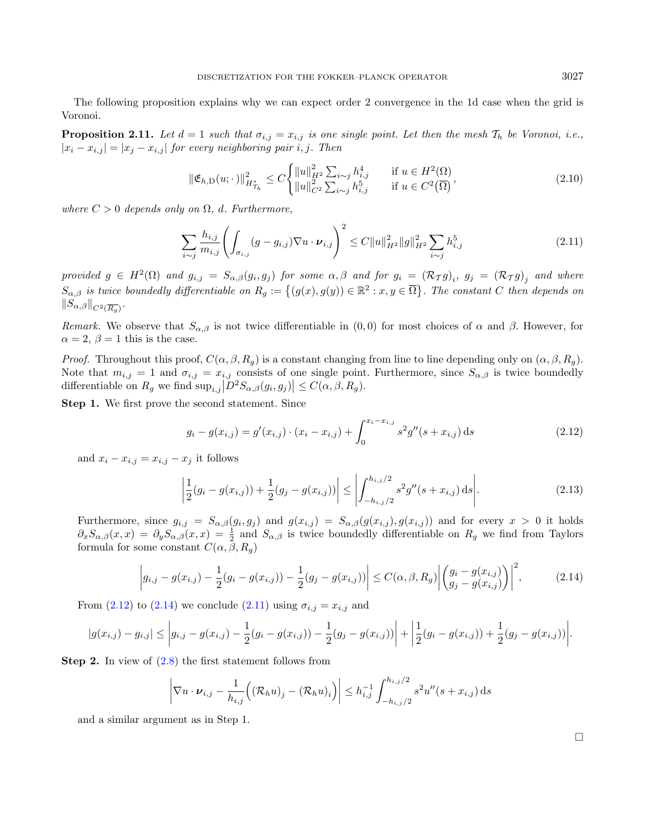<span id="page-10-3"></span>The following proposition explains why we can expect order 2 convergence in the 1d case when the grid is Voronoi.

**Proposition 2.11.** Let  $d = 1$  such that  $\sigma_{i,j} = x_{i,j}$  is one single point. Let then the mesh  $\mathcal{T}_h$  be Voronoi, i.e.,  $|x_i - x_{i,j}| = |x_j - x_{i,j}|$  for every neighboring pair i, j. Then

<span id="page-10-2"></span>
$$
\|\mathfrak{E}_{h,\mathcal{D}}(u;\cdot)\|_{H_{T_h}^*}^2 \le C \begin{cases} \|u\|_{H^2}^2 \sum_{i \sim j} h_{i,j}^4 & \text{if } u \in H^2(\Omega) \\ \|u\|_{C^2}^2 \sum_{i \sim j} h_{i,j}^5 & \text{if } u \in C^2(\overline{\Omega}) \end{cases}
$$
 (2.10)

where  $C > 0$  depends only on  $\Omega$ , d. Furthermore,

<span id="page-10-0"></span>
$$
\sum_{i \sim j} \frac{h_{i,j}}{m_{i,j}} \left( \int_{\sigma_{i,j}} (g - g_{i,j}) \nabla u \cdot \boldsymbol{\nu}_{i,j} \right)^2 \leq C \|u\|_{H^2}^2 \|g\|_{H^2}^2 \sum_{i \sim j} h_{i,j}^5 \tag{2.11}
$$

provided  $g \in H^2(\Omega)$  and  $g_{i,j} = S_{\alpha,\beta}(g_i,g_j)$  for some  $\alpha,\beta$  and for  $g_i = (\mathcal{R}_T g)_i$ ,  $g_j = (\mathcal{R}_T g)_j$  and where  $S_{\alpha,\beta}$  is twice boundedly differentiable on  $R_g := \{(g(x), g(y)) \in \mathbb{R}^2 : x, y \in \overline{\Omega}\}\.$  The constant C then depends on  $||S_{\alpha,\beta}||_{C^2(\overline{R_g})}.$ 

Remark. We observe that  $S_{\alpha,\beta}$  is not twice differentiable in  $(0,0)$  for most choices of  $\alpha$  and  $\beta$ . However, for  $\alpha = 2, \beta = 1$  this is the case.

*Proof.* Throughout this proof,  $C(\alpha, \beta, R_q)$  is a constant changing from line to line depending only on  $(\alpha, \beta, R_q)$ . Note that  $m_{i,j} = 1$  and  $\sigma_{i,j} = x_{i,j}$  consists of one single point. Furthermore, since  $S_{\alpha,\beta}$  is twice boundedly differentiable on  $R_g$  we find  $\sup_{i,j}|D^2S_{\alpha,\beta}(g_i,g_j)| \leq C(\alpha,\beta,R_g)$ .

Step 1. We first prove the second statement. Since

<span id="page-10-1"></span>
$$
g_i - g(x_{i,j}) = g'(x_{i,j}) \cdot (x_i - x_{i,j}) + \int_0^{x_i - x_{i,j}} s^2 g''(s + x_{i,j}) ds
$$
\n(2.12)

and  $x_i - x_{i,j} = x_{i,j} - x_j$  it follows

$$
\left| \frac{1}{2}(g_i - g(x_{i,j})) + \frac{1}{2}(g_j - g(x_{i,j})) \right| \le \left| \int_{-h_{i,j}/2}^{h_{i,j}/2} s^2 g''(s + x_{i,j}) \, ds \right|.
$$
\n(2.13)

Furthermore, since  $g_{i,j} = S_{\alpha,\beta}(g_i, g_j)$  and  $g(x_{i,j}) = S_{\alpha,\beta}(g(x_{i,j}), g(x_{i,j}))$  and for every  $x > 0$  it holds  $\partial_x S_{\alpha,\beta}(x,x) = \partial_y S_{\alpha,\beta}(x,x) = \frac{1}{2}$  and  $S_{\alpha,\beta}$  is twice boundedly differentiable on  $R_g$  we find from Taylors formula for some constant  $C(\alpha, \beta, R_g)$ 

$$
\left| g_{i,j} - g(x_{i,j}) - \frac{1}{2} (g_i - g(x_{i,j})) - \frac{1}{2} (g_j - g(x_{i,j})) \right| \le C(\alpha, \beta, R_g) \left| \left( \frac{g_i - g(x_{i,j})}{g_j - g(x_{i,j})} \right) \right|^2, \tag{2.14}
$$

From [\(2.12\)](#page-10-0) to [\(2.14\)](#page-10-1) we conclude [\(2.11\)](#page-10-2) using  $\sigma_{i,j} = x_{i,j}$  and

$$
|g(x_{i,j}) - g_{i,j}| \leq |g_{i,j} - g(x_{i,j}) - \frac{1}{2}(g_i - g(x_{i,j})) - \frac{1}{2}(g_j - g(x_{i,j}))| + |\frac{1}{2}(g_i - g(x_{i,j})) + \frac{1}{2}(g_j - g(x_{i,j}))|.
$$

**Step 2.** In view of  $(2.8)$  the first statement follows from

$$
\left| \nabla u \cdot \boldsymbol{\nu}_{i,j} - \frac{1}{h_{i,j}} \Big( (\mathcal{R}_h u)_j - (\mathcal{R}_h u)_i \Big) \right| \leq h_{i,j}^{-1} \int_{-h_{i,j}/2}^{h_{i,j}/2} s^2 u''(s + x_{i,j}) \, ds
$$

and a similar argument as in Step 1.

 $\Box$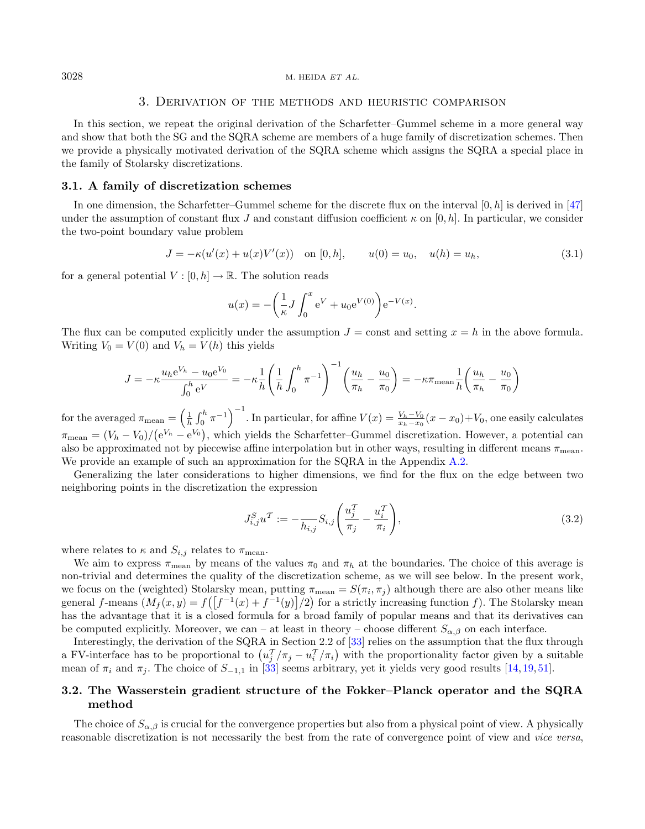#### 3. Derivation of the methods and heuristic comparison

<span id="page-11-2"></span>In this section, we repeat the original derivation of the Scharfetter–Gummel scheme in a more general way and show that both the SG and the SQRA scheme are members of a huge family of discretization schemes. Then we provide a physically motivated derivation of the SQRA scheme which assigns the SQRA a special place in the family of Stolarsky discretizations.

#### <span id="page-11-1"></span>3.1. A family of discretization schemes

In one dimension, the Scharfetter–Gummel scheme for the discrete flux on the interval  $[0, h]$  is derived in [\[47\]](#page-25-0) under the assumption of constant flux J and constant diffusion coefficient  $\kappa$  on [0, h]. In particular, we consider the two-point boundary value problem

$$
J = -\kappa(u'(x) + u(x)V'(x)) \quad \text{on } [0, h], \qquad u(0) = u_0, \quad u(h) = u_h,
$$
\n(3.1)

for a general potential  $V : [0, h] \to \mathbb{R}$ . The solution reads

$$
u(x) = -\left(\frac{1}{\kappa}J\int_0^x e^V + u_0 e^{V(0)}\right) e^{-V(x)}.
$$

The flux can be computed explicitly under the assumption  $J = \text{const}$  and setting  $x = h$  in the above formula. Writing  $V_0 = V(0)$  and  $V_h = V(h)$  this yields

$$
J = -\kappa \frac{u_h e^{V_h} - u_0 e^{V_0}}{\int_0^h e^V} = -\kappa \frac{1}{h} \left( \frac{1}{h} \int_0^h \pi^{-1} \right)^{-1} \left( \frac{u_h}{\pi_h} - \frac{u_0}{\pi_0} \right) = -\kappa \pi_{\text{mean}} \frac{1}{h} \left( \frac{u_h}{\pi_h} - \frac{u_0}{\pi_0} \right)
$$

for the averaged  $\pi_{\text{mean}} = \left(\frac{1}{h} \int_0^h \pi^{-1}\right)^{-1}$ . In particular, for affine  $V(x) = \frac{V_h - V_0}{x_h - x_0}(x - x_0) + V_0$ , one easily calculates  $\pi_{\text{mean}} = (V_h - V_0) / (e^{V_h} - e^{V_0})$ , which yields the Scharfetter–Gummel discretization. However, a potential can also be approximated not by piecewise affine interpolation but in other ways, resulting in different means  $\pi_{\text{mean}}$ . We provide an example of such an approximation for the SQRA in the Appendix [A.2.](#page-23-0)

Generalizing the later considerations to higher dimensions, we find for the flux on the edge between two neighboring points in the discretization the expression

$$
J_{i,j}^{S}u^{T} := -\frac{1}{h_{i,j}} S_{i,j} \left( \frac{u_{j}^{T}}{\pi_{j}} - \frac{u_{i}^{T}}{\pi_{i}} \right), \qquad (3.2)
$$

where relates to  $\kappa$  and  $S_{i,j}$  relates to  $\pi_{\text{mean}}$ .

We aim to express  $\pi_{\text{mean}}$  by means of the values  $\pi_0$  and  $\pi_h$  at the boundaries. The choice of this average is non-trivial and determines the quality of the discretization scheme, as we will see below. In the present work, we focus on the (weighted) Stolarsky mean, putting  $\pi_{\text{mean}} = S(\pi_i, \pi_j)$  although there are also other means like general f-means  $(M_f(x,y) = f([f^{-1}(x) + f^{-1}(y)]/2)$  for a strictly increasing function f). The Stolarsky mean has the advantage that it is a closed formula for a broad family of popular means and that its derivatives can be computed explicitly. Moreover, we can – at least in theory – choose different  $S_{\alpha,\beta}$  on each interface.

Interestingly, the derivation of the SQRA in Section 2.2 of [\[33\]](#page-25-4) relies on the assumption that the flux through a FV-interface has to be proportional to  $(u_j^T/\pi_j - u_i^T/\pi_i)$  with the proportionality factor given by a suitable mean of  $\pi_i$  and  $\pi_j$ . The choice of  $S_{-1,1}$  in [\[33\]](#page-25-4) seems arbitrary, yet it yields very good results [\[14,](#page-24-13) [19,](#page-24-16) [51\]](#page-25-11).

## <span id="page-11-0"></span>3.2. The Wasserstein gradient structure of the Fokker–Planck operator and the SQRA method

The choice of  $S_{\alpha,\beta}$  is crucial for the convergence properties but also from a physical point of view. A physically reasonable discretization is not necessarily the best from the rate of convergence point of view and vice versa,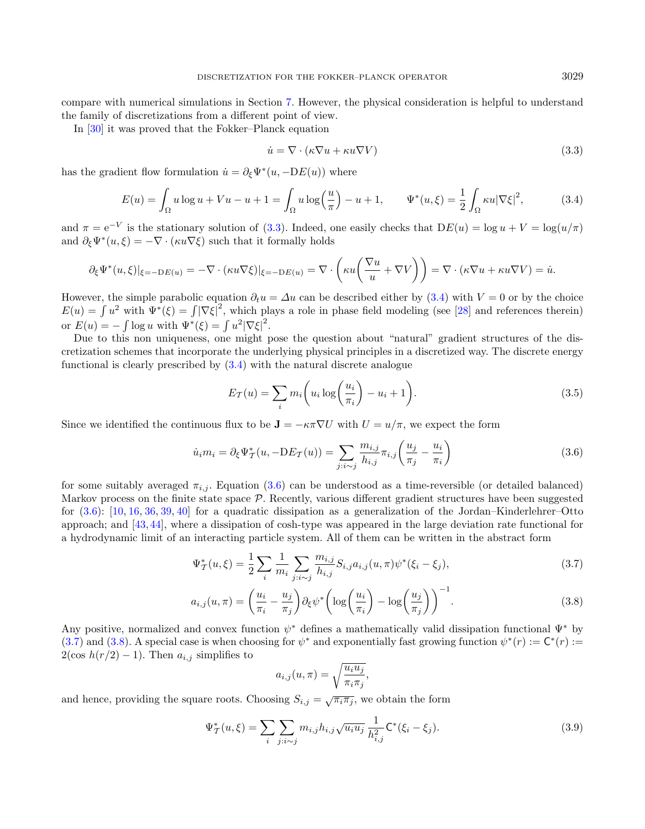compare with numerical simulations in Section [7.](#page-19-1) However, the physical consideration is helpful to understand the family of discretizations from a different point of view.

In [\[30\]](#page-24-17) it was proved that the Fokker–Planck equation

<span id="page-12-2"></span><span id="page-12-1"></span><span id="page-12-0"></span>
$$
\dot{u} = \nabla \cdot (\kappa \nabla u + \kappa u \nabla V) \tag{3.3}
$$

has the gradient flow formulation  $\dot{u} = \partial_{\xi} \Psi^*(u, -DE(u))$  where

$$
E(u) = \int_{\Omega} u \log u + Vu - u + 1 = \int_{\Omega} u \log \left(\frac{u}{\pi}\right) - u + 1, \qquad \Psi^*(u, \xi) = \frac{1}{2} \int_{\Omega} \kappa u |\nabla \xi|^2, \tag{3.4}
$$

and  $\pi = e^{-V}$  is the stationary solution of [\(3.3\)](#page-12-0). Indeed, one easily checks that  $DE(u) = \log u + V = \log(u/\pi)$ and  $\partial_{\xi} \Psi^*(u, \xi) = -\nabla \cdot (\kappa u \nabla \xi)$  such that it formally holds

$$
\partial_{\xi} \Psi^*(u,\xi)|_{\xi=-\mathrm{D}E(u)} = -\nabla \cdot (\kappa u \nabla \xi)|_{\xi=-\mathrm{D}E(u)} = \nabla \cdot \left(\kappa u \left(\frac{\nabla u}{u} + \nabla V\right)\right) = \nabla \cdot (\kappa \nabla u + \kappa u \nabla V) = \dot{u}.
$$

However, the simple parabolic equation  $\partial_t u = \Delta u$  can be described either by [\(3.4\)](#page-12-1) with  $V = 0$  or by the choice  $E(u) = \int u^2$  with  $\Psi^*(\xi) = \int |\nabla \xi|^2$ , which plays a role in phase field modeling (see [\[28\]](#page-24-18) and references therein) or  $E(u) = -\int \log u \text{ with } \Psi^*(\xi) = \int u^2 |\nabla \xi|^2$ .

Due to this non uniqueness, one might pose the question about "natural" gradient structures of the discretization schemes that incorporate the underlying physical principles in a discretized way. The discrete energy functional is clearly prescribed by [\(3.4\)](#page-12-1) with the natural discrete analogue

<span id="page-12-4"></span><span id="page-12-3"></span>
$$
E_{\mathcal{T}}(u) = \sum_{i} m_i \left( u_i \log \left( \frac{u_i}{\pi_i} \right) - u_i + 1 \right).
$$
 (3.5)

Since we identified the continuous flux to be  $J = -\kappa \pi \nabla U$  with  $U = u/\pi$ , we expect the form

$$
\dot{u}_i m_i = \partial_{\xi} \Psi^*_{\mathcal{T}}(u, -DE_{\mathcal{T}}(u)) = \sum_{j:i \sim j} \frac{m_{i,j}}{h_{i,j}} \pi_{i,j} \left( \frac{u_j}{\pi_j} - \frac{u_i}{\pi_i} \right)
$$
(3.6)

for some suitably averaged  $\pi_{i,j}$ . Equation [\(3.6\)](#page-12-2) can be understood as a time-reversible (or detailed balanced) Markov process on the finite state space  $P$ . Recently, various different gradient structures have been suggested for [\(3.6\)](#page-12-2): [\[10,](#page-24-19) [16,](#page-24-20) [36,](#page-25-12) [39,](#page-25-13) [40\]](#page-25-5) for a quadratic dissipation as a generalization of the Jordan–Kinderlehrer–Otto approach; and [\[43,](#page-25-14) [44\]](#page-25-15), where a dissipation of cosh-type was appeared in the large deviation rate functional for a hydrodynamic limit of an interacting particle system. All of them can be written in the abstract form

$$
\Psi_{\mathcal{T}}^{*}(u,\xi) = \frac{1}{2} \sum_{i} \frac{1}{m_{i}} \sum_{j:i \sim j} \frac{m_{i,j}}{h_{i,j}} S_{i,j} a_{i,j}(u,\pi) \psi^{*}(\xi_{i} - \xi_{j}), \tag{3.7}
$$

$$
a_{i,j}(u,\pi) = \left(\frac{u_i}{\pi_i} - \frac{u_j}{\pi_j}\right) \partial_\xi \psi^* \left(\log\left(\frac{u_i}{\pi_i}\right) - \log\left(\frac{u_j}{\pi_j}\right)\right)^{-1}.\tag{3.8}
$$

Any positive, normalized and convex function  $\psi^*$  defines a mathematically valid dissipation functional  $\Psi^*$  by [\(3.7\)](#page-12-3) and [\(3.8\)](#page-12-4). A special case is when choosing for  $\psi^*$  and exponentially fast growing function  $\psi^*(r) := \mathsf{C}^*(r)$ :  $2(\cos h(r/2) - 1)$ . Then  $a_{i,j}$  simplifies to

<span id="page-12-5"></span>
$$
a_{i,j}(u,\pi) = \sqrt{\frac{u_i u_j}{\pi_i \pi_j}},
$$

and hence, providing the square roots. Choosing  $S_{i,j} = \sqrt{\pi_i \pi_j}$ , we obtain the form

$$
\Psi_{\mathcal{T}}^{*}(u,\xi) = \sum_{i} \sum_{j:i \sim j} m_{i,j} h_{i,j} \sqrt{u_i u_j} \frac{1}{h_{i,j}^2} \mathsf{C}^{*}(\xi_i - \xi_j). \tag{3.9}
$$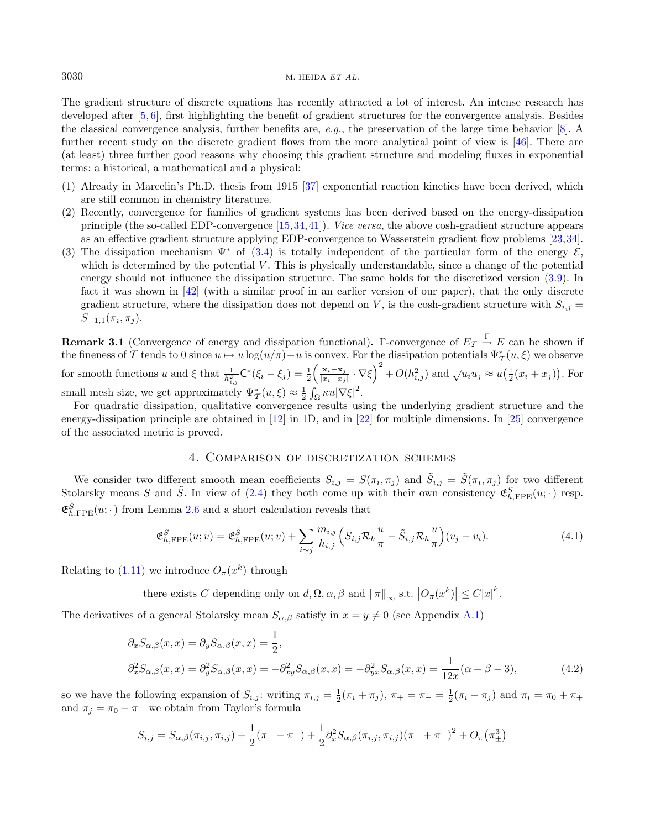The gradient structure of discrete equations has recently attracted a lot of interest. An intense research has developed after [\[5,](#page-24-21) [6\]](#page-24-22), first highlighting the benefit of gradient structures for the convergence analysis. Besides the classical convergence analysis, further benefits are, e.g., the preservation of the large time behavior [\[8\]](#page-24-23). A further recent study on the discrete gradient flows from the more analytical point of view is [\[46\]](#page-25-16). There are (at least) three further good reasons why choosing this gradient structure and modeling fluxes in exponential terms: a historical, a mathematical and a physical:

- (1) Already in Marcelin's Ph.D. thesis from 1915 [\[37\]](#page-25-17) exponential reaction kinetics have been derived, which are still common in chemistry literature.
- (2) Recently, convergence for families of gradient systems has been derived based on the energy-dissipation principle (the so-called EDP-convergence [\[15,](#page-24-24)[34,](#page-25-18)[41\]](#page-25-19)). Vice versa, the above cosh-gradient structure appears as an effective gradient structure applying EDP-convergence to Wasserstein gradient flow problems [\[23,](#page-24-25)[34\]](#page-25-18).
- (3) The dissipation mechanism  $\Psi^*$  of [\(3.4\)](#page-12-1) is totally independent of the particular form of the energy  $\mathcal{E}$ , which is determined by the potential  $V$ . This is physically understandable, since a change of the potential energy should not influence the dissipation structure. The same holds for the discretized version [\(3.9\)](#page-12-5). In fact it was shown in [\[42\]](#page-25-20) (with a similar proof in an earlier version of our paper), that the only discrete gradient structure, where the dissipation does not depend on V, is the cosh-gradient structure with  $S_{i,j}$  =  $S_{-1,1}(\pi_i, \pi_j).$

**Remark 3.1** (Convergence of energy and dissipation functional). Γ-convergence of  $E_{\mathcal{T}} \stackrel{\Gamma}{\to} E$  can be shown if the fineness of T tends to 0 since  $u \mapsto u \log(u/\pi) - u$  is convex. For the dissipation potentials  $\Psi^*_{\mathcal{I}}(u,\xi)$  we observe for smooth functions u and  $\xi$  that  $\frac{1}{h_{i,j}^2} \mathsf{C}^*(\xi_i - \xi_j) = \frac{1}{2} \left( \frac{\mathbf{x}_i - \mathbf{x}_j}{|x_i - x_j|} \right)$  $\frac{\mathbf{x}_i-\mathbf{x}_j}{|x_i-x_j|}\cdot\nabla\xi\right)^2+O(h_{i,j}^2)$  and  $\sqrt{u_iu_j}\approx u\left(\frac{1}{2}(x_i+x_j)\right)$ . For small mesh size, we get approximately  $\Psi_{\mathcal{T}}^*(u,\xi) \approx \frac{1}{2} \int_{\Omega} \kappa u |\nabla \xi|^2$ .

For quadratic dissipation, qualitative convergence results using the underlying gradient structure and the energy-dissipation principle are obtained in [\[12\]](#page-24-26) in 1D, and in [\[22\]](#page-24-27) for multiple dimensions. In [\[25\]](#page-24-28) convergence of the associated metric is proved.

#### <span id="page-13-2"></span><span id="page-13-1"></span>4. Comparison of discretization schemes

<span id="page-13-0"></span>We consider two different smooth mean coefficients  $S_{i,j} = S(\pi_i, \pi_j)$  and  $\tilde{S}_{i,j} = \tilde{S}(\pi_i, \pi_j)$  for two different Stolarsky means S and  $\tilde{S}$ . In view of [\(2.4\)](#page-7-4) they both come up with their own consistency  $\mathfrak{E}_{h,\text{FPE}}^{S}(u;\cdot)$  resp.  $\mathfrak{E}^{\tilde{S}}_{h,\text{FPE}}(u;\cdot)$  from Lemma [2.6](#page-8-0) and a short calculation reveals that

$$
\mathfrak{E}_{h,\text{FPE}}^S(u;v) = \mathfrak{E}_{h,\text{FPE}}^{\tilde{S}}(u;v) + \sum_{i \sim j} \frac{m_{i,j}}{h_{i,j}} \left( S_{i,j} \mathcal{R}_h \frac{u}{\pi} - \tilde{S}_{i,j} \mathcal{R}_h \frac{u}{\pi} \right) (v_j - v_i). \tag{4.1}
$$

Relating to  $(1.11)$  we introduce  $O_{\pi}(x^k)$  through

there exists C depending only on  $d, \Omega, \alpha, \beta$  and  $||\pi||_{\infty}$  s.t.  $|O_{\pi}(x^k)| \leq C |x|^k$ .

The derivatives of a general Stolarsky mean  $S_{\alpha,\beta}$  satisfy in  $x = y \neq 0$  (see Appendix [A.1\)](#page-22-0)

$$
\partial_x S_{\alpha,\beta}(x,x) = \partial_y S_{\alpha,\beta}(x,x) = \frac{1}{2},
$$
  
\n
$$
\partial_x^2 S_{\alpha,\beta}(x,x) = \partial_y^2 S_{\alpha,\beta}(x,x) = -\partial_{xy}^2 S_{\alpha,\beta}(x,x) = -\partial_{yx}^2 S_{\alpha,\beta}(x,x) = \frac{1}{12x}(\alpha + \beta - 3),
$$
\n(4.2)

so we have the following expansion of  $S_{i,j}$ : writing  $\pi_{i,j} = \frac{1}{2}(\pi_i + \pi_j)$ ,  $\pi_+ = \pi_- = \frac{1}{2}(\pi_i - \pi_j)$  and  $\pi_i = \pi_0 + \pi_+$ and  $\pi_i = \pi_0 - \pi_-$  we obtain from Taylor's formula

$$
S_{i,j} = S_{\alpha,\beta}(\pi_{i,j}, \pi_{i,j}) + \frac{1}{2}(\pi_+ - \pi_-) + \frac{1}{2}\partial_x^2 S_{\alpha,\beta}(\pi_{i,j}, \pi_{i,j})(\pi_+ + \pi_-)^2 + O_{\pi}(\pi_{\pm}^3)
$$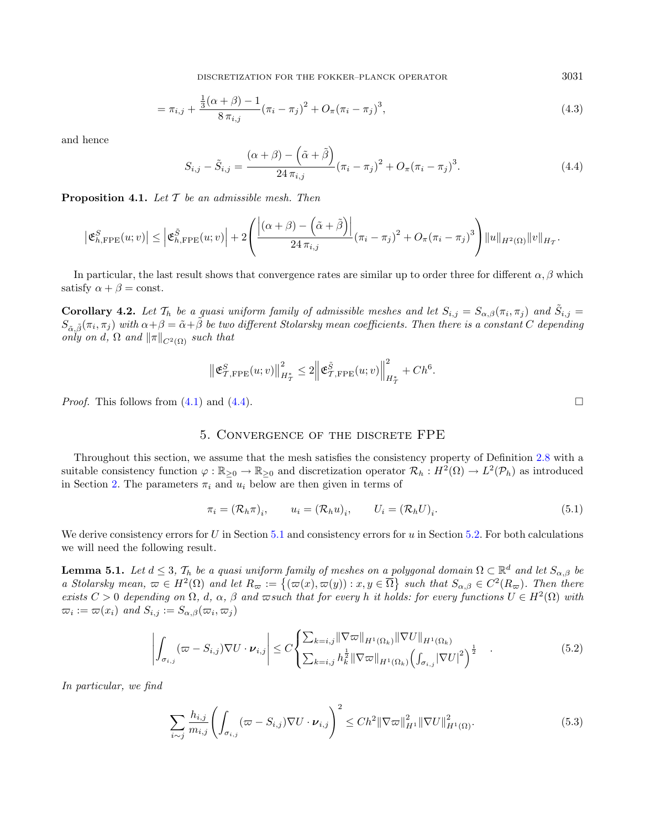DISCRETIZATION FOR THE FOKKER–PLANCK OPERATOR 3031

<span id="page-14-3"></span>
$$
= \pi_{i,j} + \frac{\frac{1}{3}(\alpha+\beta)-1}{8\pi_{i,j}}(\pi_i-\pi_j)^2 + O_\pi(\pi_i-\pi_j)^3,
$$
\n(4.3)

and hence

<span id="page-14-0"></span>
$$
S_{i,j} - \tilde{S}_{i,j} = \frac{(\alpha + \beta) - (\tilde{\alpha} + \tilde{\beta})}{24 \pi_{i,j}} (\pi_i - \pi_j)^2 + O_{\pi} (\pi_i - \pi_j)^3.
$$
 (4.4)

<span id="page-14-1"></span>**Proposition 4.1.** Let  $\mathcal T$  be an admissible mesh. Then

$$
\left|\mathfrak{E}_{h,\text{FPE}}^{S}(u; v)\right| \leq \left|\mathfrak{E}_{h,\text{FPE}}^{\tilde{S}}(u; v)\right| + 2\left(\frac{\left|(\alpha+\beta)-\left(\tilde{\alpha}+\tilde{\beta}\right)\right|}{24\,\pi_{i,j}}\left(\pi_{i}-\pi_{j}\right)^{2} + O_{\pi}(\pi_{i}-\pi_{j})^{3}\right)\|u\|_{H^{2}(\Omega)}\|v\|_{H_{T}}.
$$

In particular, the last result shows that convergence rates are similar up to order three for different  $\alpha, \beta$  which satisfy  $\alpha + \beta = \text{const.}$ 

**Corollary 4.2.** Let  $\mathcal{T}_h$  be a quasi uniform family of admissible meshes and let  $S_{i,j} = S_{\alpha,\beta}(\pi_i, \pi_j)$  and  $\tilde{S}_{i,j} = S_{\alpha,\beta}(\pi_i, \pi_j)$  $S_{\tilde{\alpha},\tilde{\beta}}(\pi_i,\pi_j)$  with  $\alpha+\beta=\tilde{\alpha}+\tilde{\beta}$  be two different Stolarsky mean coefficients. Then there is a constant C depending only on d,  $\Omega$  and  $\|\pi\|_{C^2(\Omega)}$  such that

<span id="page-14-6"></span>
$$
\left\| \mathfrak{E}^S_{\mathcal{T},\mathrm{FPE}}(u;v) \right\|_{H^*_\mathcal{T}}^2 \leq 2 \left\| \mathfrak{E}^{\tilde{S}}_{\mathcal{T},\mathrm{FPE}}(u;v) \right\|_{H^*_\mathcal{T}}^2 + Ch^6.
$$

*Proof.* This follows from  $(4.1)$  and  $(4.4)$ .

#### 5. Convergence of the discrete FPE

<span id="page-14-2"></span>Throughout this section, we assume that the mesh satisfies the consistency property of Definition [2.8](#page-9-0) with a suitable consistency function  $\varphi : \mathbb{R}_{\geq 0} \to \mathbb{R}_{\geq 0}$  and discretization operator  $\mathcal{R}_h : H^2(\Omega) \to L^2(\mathcal{P}_h)$  as introduced in Section [2.](#page-6-1) The parameters  $\pi_i$  and  $u_i$  below are then given in terms of

<span id="page-14-5"></span>
$$
\pi_i = (\mathcal{R}_h \pi)_i, \qquad u_i = (\mathcal{R}_h u)_i, \qquad U_i = (\mathcal{R}_h U)_i.
$$
\n
$$
(5.1)
$$

We derive consistency errors for  $U$  in Section [5.1](#page-15-2) and consistency errors for  $u$  in Section [5.2.](#page-15-0) For both calculations we will need the following result.

**Lemma 5.1.** Let  $d \leq 3$ ,  $\mathcal{T}_h$  be a quasi uniform family of meshes on a polygonal domain  $\Omega \subset \mathbb{R}^d$  and let  $S_{\alpha,\beta}$  be a Stolarsky mean,  $\omega \in H^2(\Omega)$  and let  $R_{\omega} := \{(\omega(x), \omega(y)) : x, y \in \overline{\Omega}\}\$  such that  $S_{\alpha,\beta} \in C^2(R_{\omega})$ . Then there exists  $C > 0$  depending on  $\Omega$ , d,  $\alpha$ ,  $\beta$  and  $\varpi$ such that for every h it holds: for every functions  $U \in H^2(\Omega)$  with  $\overline{\omega}_i := \overline{\omega}(x_i)$  and  $S_{i,j} := S_{\alpha,\beta}(\overline{\omega}_i, \overline{\omega}_j)$ 

$$
\left| \int_{\sigma_{i,j}} (\varpi - S_{i,j}) \nabla U \cdot \boldsymbol{\nu}_{i,j} \right| \leq C \left\{ \sum_{k=i,j} \|\nabla \varpi\|_{H^1(\Omega_k)} \|\nabla U\|_{H^1(\Omega_k)} \sum_{k=i,j} h_k^{\frac{1}{2}} \|\nabla \varpi\|_{H^1(\Omega_k)} \left( \int_{\sigma_{i,j}} |\nabla U|^2 \right)^{\frac{1}{2}} \right\} \tag{5.2}
$$

In particular, we find

$$
\sum_{i \sim j} \frac{h_{i,j}}{m_{i,j}} \left( \int_{\sigma_{i,j}} (\varpi - S_{i,j}) \nabla U \cdot \boldsymbol{\nu}_{i,j} \right)^2 \le C h^2 \|\nabla \varpi\|_{H^1}^2 \|\nabla U\|_{H^1(\Omega)}^2.
$$
\n(5.3)

<span id="page-14-4"></span>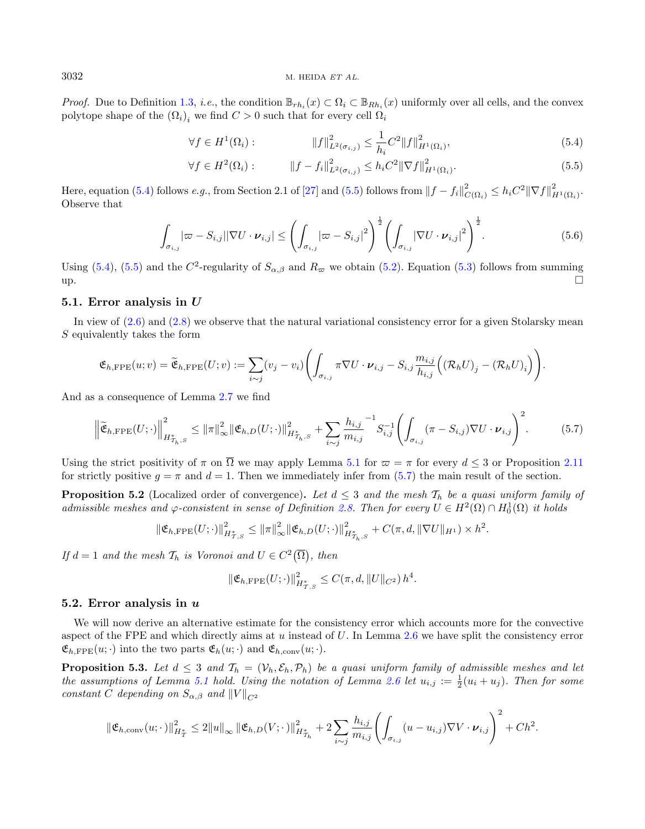*Proof.* Due to Definition [1.3,](#page-2-3) *i.e.*, the condition  $\mathbb{B}_{rh_i}(x) \subset \Omega_i \subset \mathbb{B}_{Rh_i}(x)$  uniformly over all cells, and the convex polytope shape of the  $(\Omega_i)_i$  we find  $C > 0$  such that for every cell  $\Omega_i$ 

<span id="page-15-4"></span><span id="page-15-3"></span>
$$
\forall f \in H^{1}(\Omega_{i}) : \qquad \qquad \|f\|_{L^{2}(\sigma_{i,j})}^{2} \leq \frac{1}{h_{i}} C^{2} \|f\|_{H^{1}(\Omega_{i})}^{2}, \qquad (5.4)
$$

<span id="page-15-1"></span>
$$
\forall f \in H^{2}(\Omega_{i}) : \qquad \|f - f_{i}\|_{L^{2}(\sigma_{i,j})}^{2} \leq h_{i} C^{2} \|\nabla f\|_{H^{1}(\Omega_{i})}^{2}.
$$
\n
$$
(5.5)
$$

Here, equation [\(5.4\)](#page-15-3) follows e.g., from Section 2.1 of [\[27\]](#page-24-29) and [\(5.5\)](#page-15-4) follows from  $||f - f_i||^2_{C(\Omega_i)} \leq h_i C^2 ||\nabla f||^2_{H^1(\Omega_i)}$ . Observe that

<span id="page-15-5"></span>
$$
\int_{\sigma_{i,j}} |\varpi - S_{i,j}| |\nabla U \cdot \boldsymbol{\nu}_{i,j}| \leq \left( \int_{\sigma_{i,j}} |\varpi - S_{i,j}|^2 \right)^{\frac{1}{2}} \left( \int_{\sigma_{i,j}} |\nabla U \cdot \boldsymbol{\nu}_{i,j}|^2 \right)^{\frac{1}{2}}.
$$
\n(5.6)

Using [\(5.4\)](#page-15-3), [\(5.5\)](#page-15-4) and the  $C^2$ -regularity of  $S_{\alpha,\beta}$  and  $R_{\varpi}$  we obtain [\(5.2\)](#page-14-4). Equation [\(5.3\)](#page-14-5) follows from summing  $up.$ 

#### <span id="page-15-2"></span>5.1. Error analysis in U

In view of  $(2.6)$  and  $(2.8)$  we observe that the natural variational consistency error for a given Stolarsky mean  $S$  equivalently takes the form

$$
\mathfrak{E}_{h,\text{FPE}}(u; v) = \widetilde{\mathfrak{E}}_{h,\text{FPE}}(U; v) := \sum_{i \sim j} (v_j - v_i) \Biggl( \int_{\sigma_{i,j}} \pi \nabla U \cdot \boldsymbol{\nu}_{i,j} - S_{i,j} \frac{m_{i,j}}{h_{i,j}} \Bigl( (\mathcal{R}_h U)_j - (\mathcal{R}_h U)_i \Bigr) \Biggr).
$$

And as a consequence of Lemma [2.7](#page-9-3) we find

$$
\left\| \widetilde{\mathfrak{E}}_{h,\text{FPE}}(U;\cdot) \right\|_{H_{\mathcal{T}_h,S}^*}^2 \leq \left\| \pi \right\|_{\infty}^2 \left\| \mathfrak{E}_{h,D}(U;\cdot) \right\|_{H_{\mathcal{T}_h,S}^*}^2 + \sum_{i \sim j} \frac{h_{i,j}}{m_{i,j}}^{-1} S_{i,j}^{-1} \left( \int_{\sigma_{i,j}} (\pi - S_{i,j}) \nabla U \cdot \boldsymbol{\nu}_{i,j} \right)^2.
$$
 (5.7)

Using the strict positivity of  $\pi$  on  $\overline{\Omega}$  we may apply Lemma [5.1](#page-14-6) for  $\varpi = \pi$  for every  $d \leq 3$  or Proposition [2.11](#page-10-3) for strictly positive  $g = \pi$  and  $d = 1$ . Then we immediately infer from [\(5.7\)](#page-15-5) the main result of the section.

**Proposition 5.2** (Localized order of convergence). Let  $d \leq 3$  and the mesh  $\mathcal{T}_h$  be a quasi uniform family of admissible meshes and  $\varphi$ -consistent in sense of Definition [2.8.](#page-9-0) Then for every  $U \in H^2(\Omega) \cap H^1_0(\Omega)$  it holds

$$
\|\mathfrak{E}_{h,\text{FPE}}(U;\cdot)\|_{H_{T,S}^*}^2 \le \|\pi\|_{\infty}^2 \|\mathfrak{E}_{h,D}(U;\cdot)\|_{H_{T_h,S}^*}^2 + C(\pi,d,\|\nabla U\|_{H^1}) \times h^2.
$$

If  $d = 1$  and the mesh  $\mathcal{T}_h$  is Voronoi and  $U \in C^2(\overline{\Omega})$ , then

<span id="page-15-6"></span>
$$
\left\| {\mathfrak E}_{h,\text{FPE}}(U;\cdot) \right\|_{H^*_{\mathcal{I},S}}^2 \leq C(\pi,d,\|U\|_{C^2})\,h^4.
$$

#### <span id="page-15-0"></span>5.2. Error analysis in  $u$

We will now derive an alternative estimate for the consistency error which accounts more for the convective aspect of the FPE and which directly aims at  $u$  instead of  $U$ . In Lemma [2.6](#page-8-0) we have split the consistency error  $\mathfrak{E}_{h,\text{FPE}}(u; \cdot)$  into the two parts  $\mathfrak{E}_{h}(u; \cdot)$  and  $\mathfrak{E}_{h,\text{conv}}(u; \cdot)$ .

**Proposition 5.3.** Let  $d \leq 3$  and  $\mathcal{T}_h = (\mathcal{V}_h, \mathcal{E}_h, \mathcal{P}_h)$  be a quasi uniform family of admissible meshes and let the assumptions of Lemma [5.1](#page-14-6) hold. Using the notation of Lemma [2.6](#page-8-0) let  $u_{i,j} := \frac{1}{2}(u_i + u_j)$ . Then for some constant C depending on  $S_{\alpha,\beta}$  and  $||V||_{C^2}$ 

$$
\|\mathfrak{E}_{h,\text{conv}}(u;\cdot)\|_{H^*_\mathcal{I}}^2 \leq 2\|u\|_\infty \|\mathfrak{E}_{h,D}(V;\cdot)\|_{H^*_{\mathcal{I}_h}}^2 + 2\sum_{i \sim j} \frac{h_{i,j}}{m_{i,j}} \left(\int_{\sigma_{i,j}} (u - u_{i,j}) \nabla V \cdot \boldsymbol{\nu}_{i,j}\right)^2 + Ch^2.
$$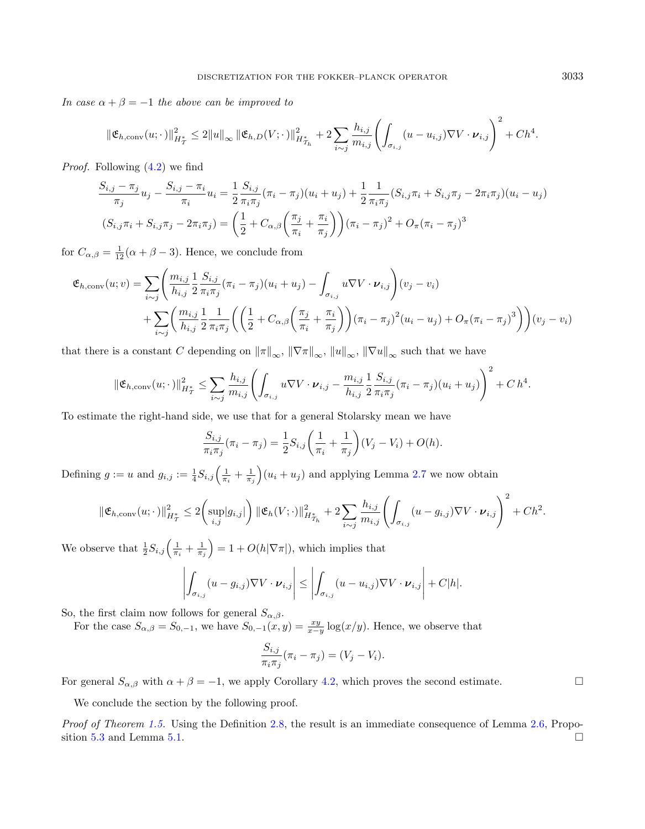In case  $\alpha + \beta = -1$  the above can be improved to

$$
\|\mathfrak{E}_{h,\mathrm{conv}}(u;\cdot)\|_{H^*_{\mathcal{I}}}^2 \leq 2\|u\|_{\infty} \|\mathfrak{E}_{h,D}(V;\cdot)\|_{H^*_{\mathcal{I}_h}}^2 + 2\sum_{i \sim j} \frac{h_{i,j}}{m_{i,j}} \left(\int_{\sigma_{i,j}} (u - u_{i,j}) \nabla V \cdot \boldsymbol{\nu}_{i,j}\right)^2 + Ch^4.
$$

*Proof.* Following  $(4.2)$  we find

$$
\frac{S_{i,j} - \pi_j}{\pi_j} u_j - \frac{S_{i,j} - \pi_i}{\pi_i} u_i = \frac{1}{2} \frac{S_{i,j}}{\pi_i \pi_j} (\pi_i - \pi_j)(u_i + u_j) + \frac{1}{2} \frac{1}{\pi_i \pi_j} (S_{i,j} \pi_i + S_{i,j} \pi_j - 2\pi_i \pi_j)(u_i - u_j)
$$
  

$$
(S_{i,j} \pi_i + S_{i,j} \pi_j - 2\pi_i \pi_j) = \left(\frac{1}{2} + C_{\alpha,\beta} \left(\frac{\pi_j}{\pi_i} + \frac{\pi_i}{\pi_j}\right)\right) (\pi_i - \pi_j)^2 + O_{\pi} (\pi_i - \pi_j)^3
$$

for  $C_{\alpha,\beta} = \frac{1}{12}(\alpha + \beta - 3)$ . Hence, we conclude from

$$
\mathfrak{E}_{h, \text{conv}}(u; v) = \sum_{i \sim j} \left( \frac{m_{i,j}}{h_{i,j}} \frac{1}{2} \frac{S_{i,j}}{\pi_i \pi_j} (\pi_i - \pi_j)(u_i + u_j) - \int_{\sigma_{i,j}} u \nabla V \cdot \nu_{i,j} \right) (v_j - v_i) + \sum_{i \sim j} \left( \frac{m_{i,j}}{h_{i,j}} \frac{1}{2} \frac{1}{\pi_i \pi_j} \left( \left( \frac{1}{2} + C_{\alpha, \beta} \left( \frac{\pi_j}{\pi_i} + \frac{\pi_i}{\pi_j} \right) \right) (\pi_i - \pi_j)^2 (u_i - u_j) + O_{\pi} (\pi_i - \pi_j)^3 \right) \right) (v_j - v_i)
$$

that there is a constant C depending on  $\|\pi\|_{\infty}$ ,  $\|\nabla\pi\|_{\infty}$ ,  $\|u\|_{\infty}$ ,  $\|\nabla u\|_{\infty}$  such that we have

$$
\|\mathfrak{E}_{h,\text{conv}}(u;\cdot)\|_{H^*_{\mathcal{I}}}^2 \leq \sum_{i\sim j}\frac{h_{i,j}}{m_{i,j}}\left(\int_{\sigma_{i,j}}u\nabla V\cdot \boldsymbol{\nu}_{i,j}-\frac{m_{i,j}}{h_{i,j}}\frac{1}{2}\frac{S_{i,j}}{\pi_i\pi_j}(\pi_i-\pi_j)(u_i+u_j)\right)^2 + C h^4.
$$

To estimate the right-hand side, we use that for a general Stolarsky mean we have

$$
\frac{S_{i,j}}{\pi_i \pi_j} (\pi_i - \pi_j) = \frac{1}{2} S_{i,j} \left( \frac{1}{\pi_i} + \frac{1}{\pi_j} \right) (V_j - V_i) + O(h).
$$

Defining  $g := u$  and  $g_{i,j} := \frac{1}{4} S_{i,j} \left( \frac{1}{\pi_i} + \frac{1}{\pi_j} \right) (u_i + u_j)$  and applying Lemma [2.7](#page-9-3) we now obtain

$$
\|\mathfrak{E}_{h,\text{conv}}(u;\cdot)\|_{H^*_{\mathcal{I}}}^2 \leq 2 \bigg(\sup_{i,j}|g_{i,j}|\bigg) \|\mathfrak{E}_h(V;\cdot)\|_{H^*_{\mathcal{I}_h}}^2 + 2 \sum_{i \sim j} \frac{h_{i,j}}{m_{i,j}} \bigg(\int_{\sigma_{i,j}} (u - g_{i,j}) \nabla V \cdot \nu_{i,j}\bigg)^2 + Ch^2.
$$

We observe that  $\frac{1}{2}S_{i,j}\left(\frac{1}{\pi_i}+\frac{1}{\pi_j}\right)=1+O(h|\nabla\pi|)$ , which implies that

$$
\left| \int_{\sigma_{i,j}} (u - g_{i,j}) \nabla V \cdot \boldsymbol{\nu}_{i,j} \right| \leq \left| \int_{\sigma_{i,j}} (u - u_{i,j}) \nabla V \cdot \boldsymbol{\nu}_{i,j} \right| + C|h|.
$$

So, the first claim now follows for general  $S_{\alpha,\beta}$ .

For the case  $S_{\alpha,\beta} = S_{0,-1}$ , we have  $S_{0,-1}(x,y) = \frac{xy}{x-y} \log(x/y)$ . Hence, we observe that

$$
\frac{S_{i,j}}{\pi_i \pi_j} (\pi_i - \pi_j) = (V_j - V_i).
$$

For general  $S_{\alpha,\beta}$  with  $\alpha + \beta = -1$ , we apply Corollary [4.2,](#page-14-0) which proves the second estimate.

We conclude the section by the following proof.

Proof of Theorem [1.5.](#page-5-0) Using the Definition [2.8,](#page-9-0) the result is an immediate consequence of Lemma [2.6,](#page-8-0) Propo-sition [5.3](#page-15-6) and Lemma [5.1.](#page-14-6)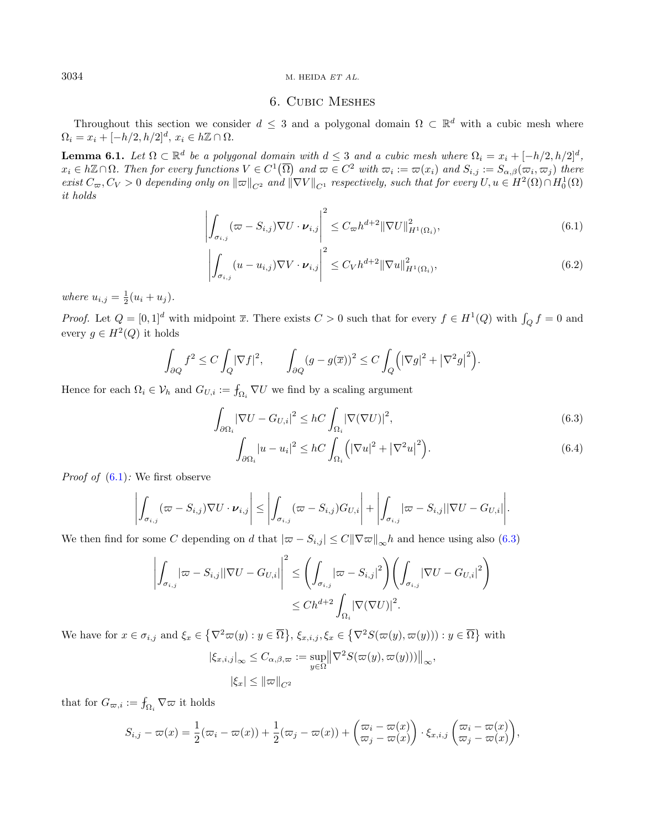## <span id="page-17-5"></span><span id="page-17-4"></span><span id="page-17-3"></span><span id="page-17-2"></span><span id="page-17-1"></span>6. Cubic Meshes

<span id="page-17-0"></span>Throughout this section we consider  $d \leq 3$  and a polygonal domain  $\Omega \subset \mathbb{R}^d$  with a cubic mesh where  $\Omega_i = x_i + [-h/2, h/2]^d, x_i \in h\mathbb{Z} \cap \Omega.$ 

**Lemma 6.1.** Let  $\Omega \subset \mathbb{R}^d$  be a polygonal domain with  $d \leq 3$  and a cubic mesh where  $\Omega_i = x_i + [-h/2, h/2]^d$ ,  $x_i \in h\mathbb{Z} \cap \Omega$ . Then for every functions  $V \in C^1(\overline{\Omega})$  and  $\varpi \in C^2$  with  $\varpi_i := \varpi(x_i)$  and  $S_{i,j} := S_{\alpha,\beta}(\varpi_i, \varpi_j)$  there  $\text{exist } C_{\varpi}, C_V > 0 \text{ depending only on } \|\varpi\|_{C^2} \text{ and } \|\nabla V\|_{C^1} \text{ respectively, such that for every } U, u \in H^2(\Omega) \cap H^1_0(\Omega)$ it holds

$$
\left| \int_{\sigma_{i,j}} (\varpi - S_{i,j}) \nabla U \cdot \boldsymbol{\nu}_{i,j} \right|^2 \leq C_{\varpi} h^{d+2} \|\nabla U\|_{H^1(\Omega_i)}^2,
$$
\n(6.1)

$$
\left| \int_{\sigma_{i,j}} (u - u_{i,j}) \nabla V \cdot \boldsymbol{\nu}_{i,j} \right|^2 \le C_V h^{d+2} ||\nabla u||_{H^1(\Omega_i)}^2,
$$
\n(6.2)

where  $u_{i,j} = \frac{1}{2}(u_i + u_j)$ .

*Proof.* Let  $Q = [0,1]^d$  with midpoint  $\overline{x}$ . There exists  $C > 0$  such that for every  $f \in H^1(Q)$  with  $\int_Q f = 0$  and every  $g \in H^2(Q)$  it holds

$$
\int_{\partial Q} f^2 \le C \int_Q |\nabla f|^2, \qquad \int_{\partial Q} (g - g(\overline{x}))^2 \le C \int_Q \Big( |\nabla g|^2 + |\nabla^2 g|^2 \Big).
$$

Hence for each  $\Omega_i \in \mathcal{V}_h$  and  $G_{U,i} := \int_{\Omega_i} \nabla U$  we find by a scaling argument

$$
\int_{\partial\Omega_i} |\nabla U - G_{U,i}|^2 \le hC \int_{\Omega_i} |\nabla(\nabla U)|^2,\tag{6.3}
$$

$$
\int_{\partial\Omega_i} |u - u_i|^2 \le hC \int_{\Omega_i} \left( |\nabla u|^2 + |\nabla^2 u|^2 \right). \tag{6.4}
$$

*Proof of*  $(6.1)$ : We first observe

$$
\left| \int_{\sigma_{i,j}} (\varpi - S_{i,j}) \nabla U \cdot \boldsymbol{\nu}_{i,j} \right| \leq \left| \int_{\sigma_{i,j}} (\varpi - S_{i,j}) G_{U,i} \right| + \left| \int_{\sigma_{i,j}} |\varpi - S_{i,j}| |\nabla U - G_{U,i}| \right|.
$$

We then find for some C depending on d that  $|\varpi - S_{i,j}| \leq C ||\nabla \varpi||_{\infty} h$  and hence using also [\(6.3\)](#page-17-2)

$$
\left| \int_{\sigma_{i,j}} |\varpi - S_{i,j}| |\nabla U - G_{U,i}| \right|^2 \le \left( \int_{\sigma_{i,j}} |\varpi - S_{i,j}|^2 \right) \left( \int_{\sigma_{i,j}} |\nabla U - G_{U,i}|^2 \right) \le Ch^{d+2} \int_{\Omega_i} |\nabla (\nabla U)|^2.
$$

We have for  $x \in \sigma_{i,j}$  and  $\xi_x \in \left\{\nabla^2 \varpi(y) : y \in \overline{\Omega}\right\}$ ,  $\xi_{x,i,j}, \xi_x \in \left\{\nabla^2 S(\varpi(y), \varpi(y)) : y \in \overline{\Omega}\right\}$  with

$$
|\xi_{x,i,j}|_{\infty} \leq C_{\alpha,\beta,\varpi} := \sup_{y \in \Omega} \left\| \nabla^2 S(\varpi(y), \varpi(y))) \right\|_{\infty},
$$
  

$$
|\xi_x| \leq \|\varpi\|_{C^2}
$$

that for  $G_{\varpi,i} := \int_{\Omega_i} \nabla \varpi$  it holds

$$
S_{i,j} - \varpi(x) = \frac{1}{2}(\varpi_i - \varpi(x)) + \frac{1}{2}(\varpi_j - \varpi(x)) + \begin{pmatrix} \varpi_i - \varpi(x) \\ \varpi_j - \varpi(x) \end{pmatrix} \cdot \xi_{x,i,j} \begin{pmatrix} \varpi_i - \varpi(x) \\ \varpi_j - \varpi(x) \end{pmatrix},
$$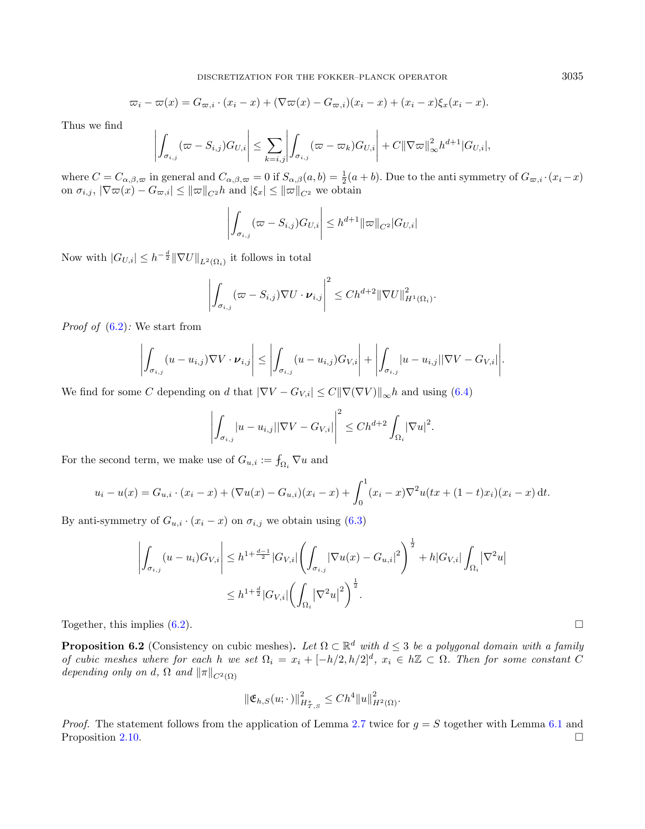$$
\varpi_i - \varpi(x) = G_{\varpi,i} \cdot (x_i - x) + (\nabla \varpi(x) - G_{\varpi,i})(x_i - x) + (x_i - x)\xi_x(x_i - x).
$$

Thus we find

$$
\left| \int_{\sigma_{i,j}} (\varpi - S_{i,j}) G_{U,i} \right| \leq \sum_{k=i,j} \left| \int_{\sigma_{i,j}} (\varpi - \varpi_k) G_{U,i} \right| + C ||\nabla \varpi||_{\infty}^2 h^{d+1} |G_{U,i}|,
$$

where  $C = C_{\alpha,\beta,\omega}$  in general and  $C_{\alpha,\beta,\omega} = 0$  if  $S_{\alpha,\beta}(a, b) = \frac{1}{2}(a+b)$ . Due to the anti symmetry of  $G_{\varpi,i} \cdot (x_i - x)$ on  $\sigma_{i,j}$ ,  $|\nabla \varpi(x) - G_{\varpi,i}| \leq ||\varpi||_{C^2} h$  and  $|\xi_x| \leq ||\varpi||_{C^2}$  we obtain

$$
\left| \int_{\sigma_{i,j}} (\varpi - S_{i,j}) G_{U,i} \right| \leq h^{d+1} ||\varpi||_{C^2} |G_{U,i}|
$$

Now with  $|G_{U,i}| \leq h^{-\frac{d}{2}} \|\nabla U\|_{L^2(\Omega_i)}$  it follows in total

$$
\left| \int_{\sigma_{i,j}} (\varpi - S_{i,j}) \nabla U \cdot \boldsymbol{\nu}_{i,j} \right|^2 \leq Ch^{d+2} \|\nabla U\|_{H^1(\Omega_i)}^2.
$$

*Proof of*  $(6.2)$ : We start from

$$
\left| \int_{\sigma_{i,j}} (u - u_{i,j}) \nabla V \cdot \boldsymbol{\nu}_{i,j} \right| \leq \left| \int_{\sigma_{i,j}} (u - u_{i,j}) G_{V,i} \right| + \left| \int_{\sigma_{i,j}} |u - u_{i,j}| |\nabla V - G_{V,i}| \right|.
$$

We find for some C depending on d that  $|\nabla V - G_{V,i}| \leq C ||\nabla(\nabla V)||_{\infty} h$  and using [\(6.4\)](#page-17-4)

$$
\left| \int_{\sigma_{i,j}} |u - u_{i,j}| |\nabla V - G_{V,i}| \right|^2 \le Ch^{d+2} \int_{\Omega_i} |\nabla u|^2.
$$

For the second term, we make use of  $G_{u,i} := \int_{\Omega_i} \nabla u$  and

$$
u_i - u(x) = G_{u,i} \cdot (x_i - x) + (\nabla u(x) - G_{u,i})(x_i - x) + \int_0^1 (x_i - x) \nabla^2 u(tx + (1-t)x_i)(x_i - x) dt.
$$

By anti-symmetry of  $G_{u,i} \cdot (x_i - x)$  on  $\sigma_{i,j}$  we obtain using [\(6.3\)](#page-17-2)

$$
\left| \int_{\sigma_{i,j}} (u - u_i) G_{V,i} \right| \le h^{1 + \frac{d-1}{2}} |G_{V,i}| \left( \int_{\sigma_{i,j}} |\nabla u(x) - G_{u,i}|^2 \right)^{\frac{1}{2}} + h |G_{V,i}| \int_{\Omega_i} |\nabla^2 u| \le h^{1 + \frac{d}{2}} |G_{V,i}| \left( \int_{\Omega_i} |\nabla^2 u|^2 \right)^{\frac{1}{2}}.
$$

Together, this implies  $(6.2)$ .

<span id="page-18-0"></span>**Proposition 6.2** (Consistency on cubic meshes). Let  $\Omega \subset \mathbb{R}^d$  with  $d \leq 3$  be a polygonal domain with a family of cubic meshes where for each h we set  $\Omega_i = x_i + [-h/2, h/2]^d$ ,  $x_i \in h\mathbb{Z} \subset \Omega$ . Then for some constant C depending only on d,  $\Omega$  and  $\|\pi\|_{C^2(\Omega)}$ 

$$
\|\mathfrak{E}_{h,S}(u;\cdot)\|_{H^*_{\mathcal{I},S}}^2 \leq Ch^4 \|u\|_{H^2(\Omega)}^2.
$$

*Proof.* The statement follows from the application of Lemma [2.7](#page-9-3) twice for  $g = S$  together with Lemma [6.1](#page-17-5) and Proposition [2.10.](#page-9-2)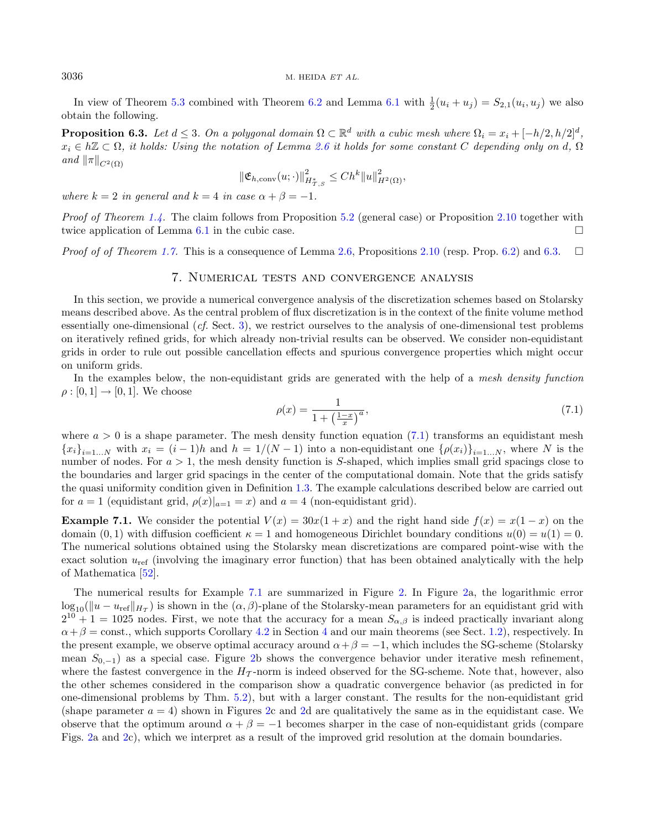In view of Theorem [5.3](#page-15-6) combined with Theorem [6.2](#page-18-0) and Lemma [6.1](#page-17-5) with  $\frac{1}{2}(u_i + u_j) = S_{2,1}(u_i, u_j)$  we also obtain the following.

**Proposition 6.3.** Let  $d \leq 3$ . On a polygonal domain  $\Omega \subset \mathbb{R}^d$  with a cubic mesh where  $\Omega_i = x_i + [-h/2, h/2]^d$ ,  $x_i \in h\mathbb{Z} \subset \Omega$ , it holds: Using the notation of Lemma [2.6](#page-8-0) it holds for some constant C depending only on d,  $\Omega$ and  $\|\pi\|_{C^2(\Omega)}$ 

$$
\|\mathfrak{E}_{h,\text{conv}}(u;\cdot)\|_{H_{T,S}^*}^2 \leq Ch^k \|u\|_{H^2(\Omega)}^2,
$$

where  $k = 2$  in general and  $k = 4$  in case  $\alpha + \beta = -1$ .

*Proof of Theorem [1.4.](#page-5-2)* The claim follows from Proposition [5.2](#page-15-1) (general case) or Proposition [2.10](#page-9-2) together with twice application of Lemma [6.1](#page-17-5) in the cubic case.

<span id="page-19-1"></span>*Proof of Theorem [1.7.](#page-6-0)* This is a consequence of Lemma [2.6,](#page-8-0) Propositions [2.10](#page-9-2) (resp. Prop. [6.2\)](#page-18-0) and [6.3.](#page-19-2)  $\Box$ 

#### <span id="page-19-3"></span>7. Numerical tests and convergence analysis

In this section, we provide a numerical convergence analysis of the discretization schemes based on Stolarsky means described above. As the central problem of flux discretization is in the context of the finite volume method essentially one-dimensional  $(cf. Sect. 3)$  $(cf. Sect. 3)$ , we restrict ourselves to the analysis of one-dimensional test problems on iteratively refined grids, for which already non-trivial results can be observed. We consider non-equidistant grids in order to rule out possible cancellation effects and spurious convergence properties which might occur on uniform grids.

In the examples below, the non-equidistant grids are generated with the help of a mesh density function  $\rho : [0, 1] \rightarrow [0, 1]$ . We choose

$$
\rho(x) = \frac{1}{1 + \left(\frac{1-x}{x}\right)^a},\tag{7.1}
$$

where  $a > 0$  is a shape parameter. The mesh density function equation [\(7.1\)](#page-19-3) transforms an equidistant mesh  ${x_i}_{i=1...N}$  with  $x_i = (i-1)h$  and  $h = 1/(N-1)$  into a non-equidistant one  ${\lbrace \rho(x_i) \rbrace}_{i=1...N}$ , where N is the number of nodes. For  $a > 1$ , the mesh density function is S-shaped, which implies small grid spacings close to the boundaries and larger grid spacings in the center of the computational domain. Note that the grids satisfy the quasi uniformity condition given in Definition [1.3.](#page-2-3) The example calculations described below are carried out for  $a = 1$  (equidistant grid,  $\rho(x)|_{a=1} = x$ ) and  $a = 4$  (non-equidistant grid).

<span id="page-19-4"></span>**Example 7.1.** We consider the potential  $V(x) = 30x(1+x)$  and the right hand side  $f(x) = x(1-x)$  on the domain  $(0, 1)$  with diffusion coefficient  $\kappa = 1$  and homogeneous Dirichlet boundary conditions  $u(0) = u(1) = 0$ . The numerical solutions obtained using the Stolarsky mean discretizations are compared point-wise with the exact solution  $u_{\text{ref}}$  (involving the imaginary error function) that has been obtained analytically with the help of Mathematica [\[52\]](#page-25-21).

<span id="page-19-0"></span>The numerical results for Example [7.1](#page-19-4) are summarized in Figure [2.](#page-20-0) In Figure [2a](#page-20-0), the logarithmic error  $\log_{10}(\|u-u_{\text{ref}}\|_{H_T})$  is shown in the  $(\alpha, \beta)$ -plane of the Stolarsky-mean parameters for an equidistant grid with  $2^{10} + 1 = 1025$  nodes. First, we note that the accuracy for a mean  $S_{\alpha,\beta}$  is indeed practically invariant along  $\alpha + \beta = \text{const.}$ , which supports Corollary [4.2](#page-14-0) in Section [4](#page-13-0) and our main theorems (see Sect. [1.2\)](#page-4-0), respectively. In the present example, we observe optimal accuracy around  $\alpha + \beta = -1$ , which includes the SG-scheme (Stolarsky mean  $S_{0,-1}$ ) as a special case. Figure [2b](#page-20-0) shows the convergence behavior under iterative mesh refinement, where the fastest convergence in the  $H<sub>\tau</sub>$ -norm is indeed observed for the SG-scheme. Note that, however, also the other schemes considered in the comparison show a quadratic convergence behavior (as predicted in for one-dimensional problems by Thm. [5.2\)](#page-15-1), but with a larger constant. The results for the non-equidistant grid (shape parameter  $a = 4$ ) shown in Figures [2c](#page-20-0) and [2d](#page-20-0) are qualitatively the same as in the equidistant case. We observe that the optimum around  $\alpha + \beta = -1$  becomes sharper in the case of non-equidistant grids (compare Figs. [2a](#page-20-0) and [2c](#page-20-0)), which we interpret as a result of the improved grid resolution at the domain boundaries.

<span id="page-19-2"></span>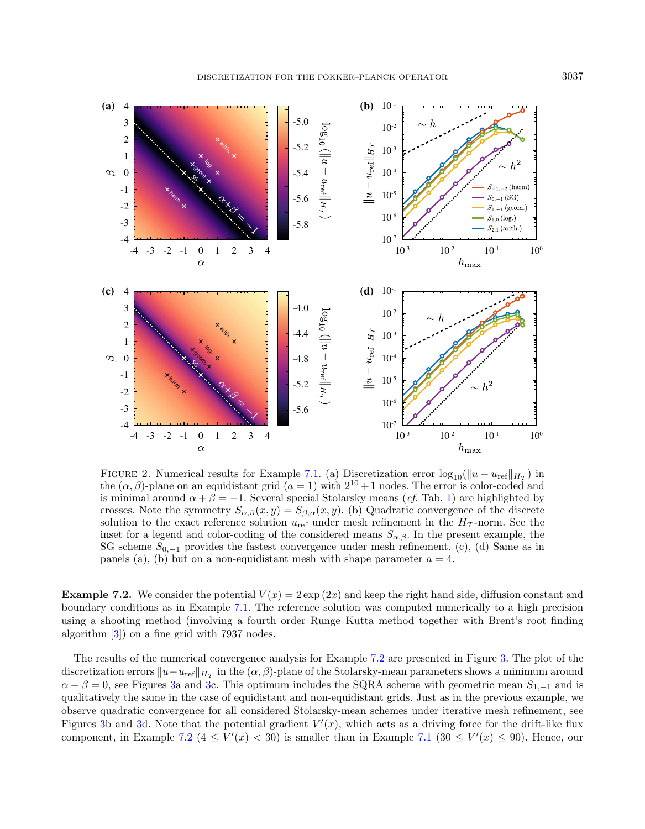

<span id="page-20-0"></span>FIGURE 2. Numerical results for Example [7.1.](#page-19-4) (a) Discretization error  $\log_{10}(\|u - u_{\text{ref}}\|_{H_T})$  in the  $(\alpha, \beta)$ -plane on an equidistant grid  $(a = 1)$  with  $2^{10} + 1$  nodes. The error is color-coded and is minimal around  $\alpha + \beta = -1$ . Several special Stolarsky means (*cf.* Tab. [1\)](#page-2-0) are highlighted by crosses. Note the symmetry  $S_{\alpha,\beta}(x, y) = S_{\beta,\alpha}(x, y)$ . (b) Quadratic convergence of the discrete solution to the exact reference solution  $u_{\text{ref}}$  under mesh refinement in the  $H_T$ -norm. See the inset for a legend and color-coding of the considered means  $S_{\alpha,\beta}$ . In the present example, the SG scheme  $S_{0,-1}$  provides the fastest convergence under mesh refinement. (c), (d) Same as in panels (a), (b) but on a non-equidistant mesh with shape parameter  $a = 4$ .

**Example 7.2.** We consider the potential  $V(x) = 2 \exp(2x)$  and keep the right hand side, diffusion constant and boundary conditions as in Example [7.1.](#page-19-4) The reference solution was computed numerically to a high precision using a shooting method (involving a fourth order Runge–Kutta method together with Brent's root finding algorithm [\[3\]](#page-24-30)) on a fine grid with 7937 nodes.

The results of the numerical convergence analysis for Example [7.2](#page-19-0) are presented in Figure [3.](#page-21-0) The plot of the discretization errors  $\|u-u_{\text{ref}}\|_{H_{\mathcal{T}}}$  in the  $(\alpha, \beta)$ -plane of the Stolarsky-mean parameters shows a minimum around  $\alpha + \beta = 0$ , see Figures [3a](#page-21-0) and [3c](#page-21-0). This optimum includes the SQRA scheme with geometric mean  $S_{1,-1}$  and is qualitatively the same in the case of equidistant and non-equidistant grids. Just as in the previous example, we observe quadratic convergence for all considered Stolarsky-mean schemes under iterative mesh refinement, see Figures [3b](#page-21-0) and [3d](#page-21-0). Note that the potential gradient  $V'(x)$ , which acts as a driving force for the drift-like flux component, in Example [7.2](#page-19-0) ( $4 \leq V'(x) < 30$ ) is smaller than in Example [7.1](#page-19-4) ( $30 \leq V'(x) \leq 90$ ). Hence, our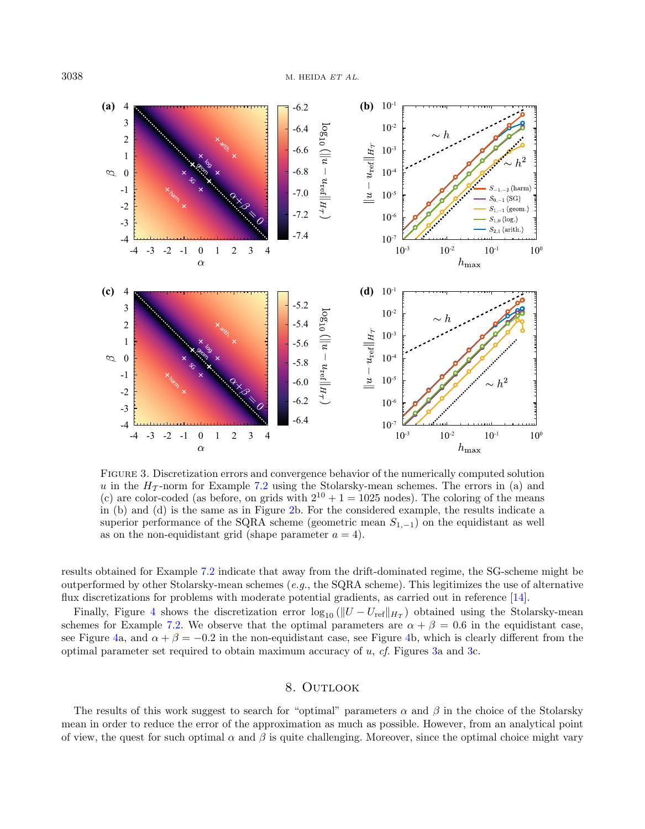

<span id="page-21-0"></span>Figure 3. Discretization errors and convergence behavior of the numerically computed solution u in the  $H_T$ -norm for Example [7.2](#page-19-0) using the Stolarsky-mean schemes. The errors in (a) and (c) are color-coded (as before, on grids with  $2^{10} + 1 = 1025$  nodes). The coloring of the means in (b) and (d) is the same as in Figure [2b](#page-20-0). For the considered example, the results indicate a superior performance of the SQRA scheme (geometric mean  $S_{1,-1}$ ) on the equidistant as well as on the non-equidistant grid (shape parameter  $a = 4$ ).

results obtained for Example [7.2](#page-19-0) indicate that away from the drift-dominated regime, the SG-scheme might be outperformed by other Stolarsky-mean schemes (e.g., the SQRA scheme). This legitimizes the use of alternative flux discretizations for problems with moderate potential gradients, as carried out in reference [\[14\]](#page-24-13).

Finally, Figure [4](#page-22-1) shows the discretization error  $\log_{10}(|U - U_{\text{ref}}|_{H_T})$  obtained using the Stolarsky-mean schemes for Example [7.2.](#page-19-0) We observe that the optimal parameters are  $\alpha + \beta = 0.6$  in the equidistant case. see Figure [4a](#page-22-1), and  $\alpha + \beta = -0.2$  in the non-equidistant case, see Figure [4b](#page-22-1), which is clearly different from the optimal parameter set required to obtain maximum accuracy of  $u$ , cf. Figures [3a](#page-21-0) and [3c](#page-21-0).

#### 8. OUTLOOK

The results of this work suggest to search for "optimal" parameters  $\alpha$  and  $\beta$  in the choice of the Stolarsky mean in order to reduce the error of the approximation as much as possible. However, from an analytical point of view, the quest for such optimal  $\alpha$  and  $\beta$  is quite challenging. Moreover, since the optimal choice might vary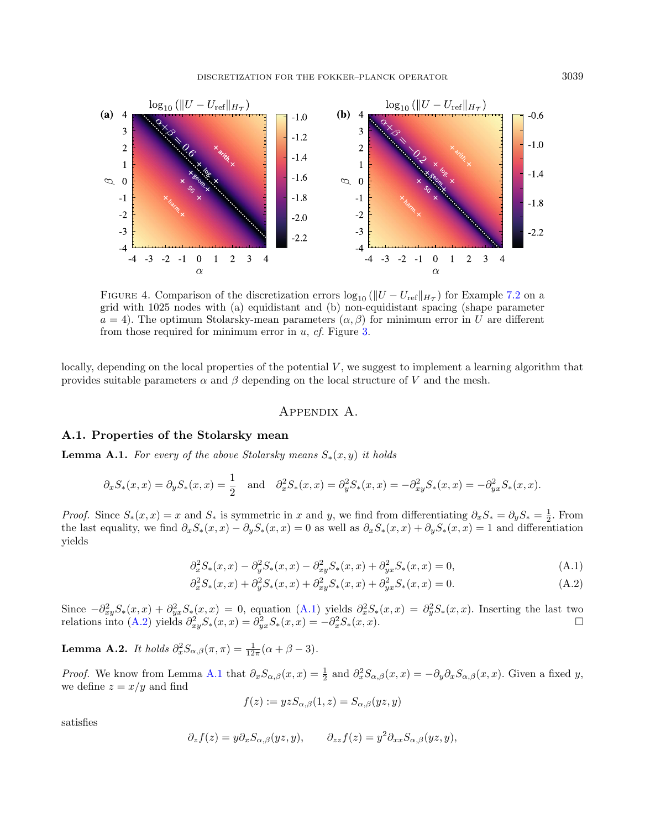<span id="page-22-1"></span>DISCRETIZATION FOR THE FOKKER–PLANCK OPERATOR 3039



FIGURE 4. Comparison of the discretization errors  $\log_{10} (||U - U_{ref}||_{H_T})$  for Example [7.2](#page-19-0) on a grid with 1025 nodes with (a) equidistant and (b) non-equidistant spacing (shape parameter  $a = 4$ ). The optimum Stolarsky-mean parameters  $(\alpha, \beta)$  for minimum error in U are different from those required for minimum error in  $u$ ,  $cf$ . Figure [3.](#page-21-0)

locally, depending on the local properties of the potential  $V$ , we suggest to implement a learning algorithm that provides suitable parameters  $\alpha$  and  $\beta$  depending on the local structure of V and the mesh.

#### <span id="page-22-3"></span><span id="page-22-2"></span>Appendix A.

#### <span id="page-22-0"></span>A.1. Properties of the Stolarsky mean

<span id="page-22-4"></span>**Lemma A.1.** For every of the above Stolarsky means  $S_*(x, y)$  it holds

$$
\partial_x S_*(x, x) = \partial_y S_*(x, x) = \frac{1}{2} \quad \text{and} \quad \partial_x^2 S_*(x, x) = \partial_y^2 S_*(x, x) = -\partial_{xy}^2 S_*(x, x) = -\partial_{yx}^2 S_*(x, x).
$$

*Proof.* Since  $S_*(x, x) = x$  and  $S_*$  is symmetric in  $x$  and  $y$ , we find from differentiating  $\partial_x S_* = \partial_y S_* = \frac{1}{2}$ . From the last equality, we find  $\partial_x S_*(x, x) - \partial_y S_*(x, x) = 0$  as well as  $\partial_x S_*(x, x) + \partial_y S_*(x, x) = 1$  and differentiation yields

$$
\partial_x^2 S_*(x, x) - \partial_y^2 S_*(x, x) - \partial_{xy}^2 S_*(x, x) + \partial_{yx}^2 S_*(x, x) = 0,
$$
\n(A.1)

$$
\partial_x^2 S_*(x, x) + \partial_y^2 S_*(x, x) + \partial_{xy}^2 S_*(x, x) + \partial_{yx}^2 S_*(x, x) = 0.
$$
\n(A.2)

Since  $-\partial_{xy}^2 S_*(x,x) + \partial_{yx}^2 S_*(x,x) = 0$ , equation  $(A.1)$  yields  $\partial_x^2 S_*(x,x) = \partial_y^2 S_*(x,x)$ . Inserting the last two relations into [\(A.2\)](#page-22-3) yields  $\partial_{xy}^2 S_*(x, x) = \partial_{yx}^2 S_*(x, x) = -\partial_x^2 S_*(x, x)$ .

**Lemma A.2.** It holds  $\partial_x^2 S_{\alpha,\beta}(\pi,\pi) = \frac{1}{12\pi}(\alpha+\beta-3)$ .

*Proof.* We know from Lemma [A.1](#page-22-4) that  $\partial_x S_{\alpha,\beta}(x,x) = \frac{1}{2}$  and  $\partial_x^2 S_{\alpha,\beta}(x,x) = -\partial_y \partial_x S_{\alpha,\beta}(x,x)$ . Given a fixed y, we define  $z = x/y$  and find

$$
f(z) := yzS_{\alpha,\beta}(1,z) = S_{\alpha,\beta}(yz,y)
$$

satisfies

$$
\partial_z f(z) = y \partial_x S_{\alpha,\beta}(yz, y), \qquad \partial_{zz} f(z) = y^2 \partial_{xx} S_{\alpha,\beta}(yz, y),
$$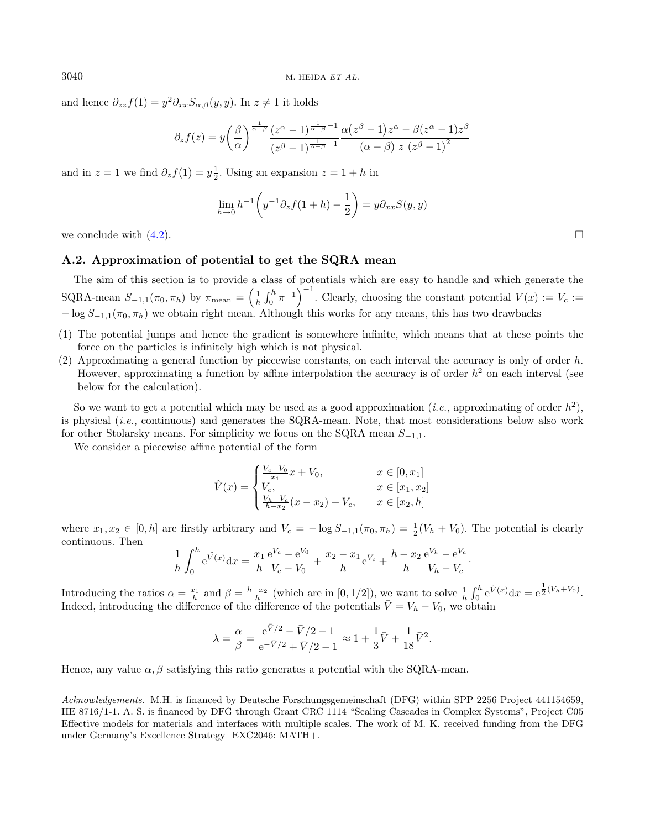and hence  $\partial_{zz} f(1) = y^2 \partial_{xx} S_{\alpha,\beta}(y, y)$ . In  $z \neq 1$  it holds

$$
\partial_z f(z) = y \left(\frac{\beta}{\alpha}\right)^{\frac{1}{\alpha-\beta}} \frac{(z^{\alpha}-1)^{\frac{1}{\alpha-\beta}-1}}{(z^{\beta}-1)^{\frac{1}{\alpha-\beta}-1}} \frac{\alpha (z^{\beta}-1) z^{\alpha} - \beta (z^{\alpha}-1) z^{\beta}}{(\alpha-\beta) z (z^{\beta}-1)^2}
$$

and in  $z = 1$  we find  $\partial_z f(1) = y \frac{1}{2}$ . Using an expansion  $z = 1 + h$  in

$$
\lim_{h \to 0} h^{-1} \left( y^{-1} \partial_z f(1+h) - \frac{1}{2} \right) = y \partial_{xx} S(y, y)
$$

we conclude with  $(4.2)$ .

## <span id="page-23-0"></span>A.2. Approximation of potential to get the SQRA mean

The aim of this section is to provide a class of potentials which are easy to handle and which generate the SQRA-mean  $S_{-1,1}(\pi_0, \pi_h)$  by  $\pi_{\text{mean}} = \left(\frac{1}{h} \int_0^h \pi^{-1}\right)^{-1}$ . Clearly, choosing the constant potential  $V(x) := V_c :=$  $-\log S_{-1,1}(\pi_0, \pi_h)$  we obtain right mean. Although this works for any means, this has two drawbacks

- (1) The potential jumps and hence the gradient is somewhere infinite, which means that at these points the force on the particles is infinitely high which is not physical.
- (2) Approximating a general function by piecewise constants, on each interval the accuracy is only of order  $h$ . However, approximating a function by affine interpolation the accuracy is of order  $h^2$  on each interval (see below for the calculation).

So we want to get a potential which may be used as a good approximation (*i.e.*, approximating of order  $h^2$ ), is physical (i.e., continuous) and generates the SQRA-mean. Note, that most considerations below also work for other Stolarsky means. For simplicity we focus on the SQRA mean  $S_{-1,1}$ .

We consider a piecewise affine potential of the form

$$
\hat{V}(x) = \begin{cases}\n\frac{V_c - V_0}{x_1} x + V_0, & x \in [0, x_1] \\
V_c, & x \in [x_1, x_2] \\
\frac{V_h - V_c}{h - x_2} (x - x_2) + V_c, & x \in [x_2, h]\n\end{cases}
$$

where  $x_1, x_2 \in [0, h]$  are firstly arbitrary and  $V_c = -\log S_{-1,1}(\pi_0, \pi_h) = \frac{1}{2}(V_h + V_0)$ . The potential is clearly continuous. Then

$$
\frac{1}{h} \int_0^h e^{\hat{V}(x)} dx = \frac{x_1}{h} \frac{e^{V_c} - e^{V_0}}{V_c - V_0} + \frac{x_2 - x_1}{h} e^{V_c} + \frac{h - x_2}{h} \frac{e^{V_h} - e^{V_c}}{V_h - V_c}.
$$

Introducing the ratios  $\alpha = \frac{x_1}{h}$  and  $\beta = \frac{h - x_2}{h}$  (which are in [0, 1/2]), we want to solve  $\frac{1}{h} \int_0^h e^{\hat{V}(x)} dx = e^{\frac{1}{2}(V_h + V_0)}$ . Indeed, introducing the difference of the difference of the potentials  $\bar{V} = V_h - V_0$ , we obtain

$$
\lambda=\frac{\alpha}{\beta}=\frac{\mathrm{e}^{\bar{V}/2}-\bar{V}/2-1}{\mathrm{e}^{-\bar{V}/2}+\bar{V}/2-1}\approx 1+\frac{1}{3}\bar{V}+\frac{1}{18}\bar{V}^2.
$$

Hence, any value  $\alpha$ ,  $\beta$  satisfying this ratio generates a potential with the SQRA-mean.

Acknowledgements. M.H. is financed by Deutsche Forschungsgemeinschaft (DFG) within SPP 2256 Project 441154659, HE 8716/1-1. A. S. is financed by DFG through Grant CRC 1114 "Scaling Cascades in Complex Systems", Project C05 Effective models for materials and interfaces with multiple scales. The work of M. K. received funding from the DFG under Germany's Excellence Strategy EXC2046: MATH+.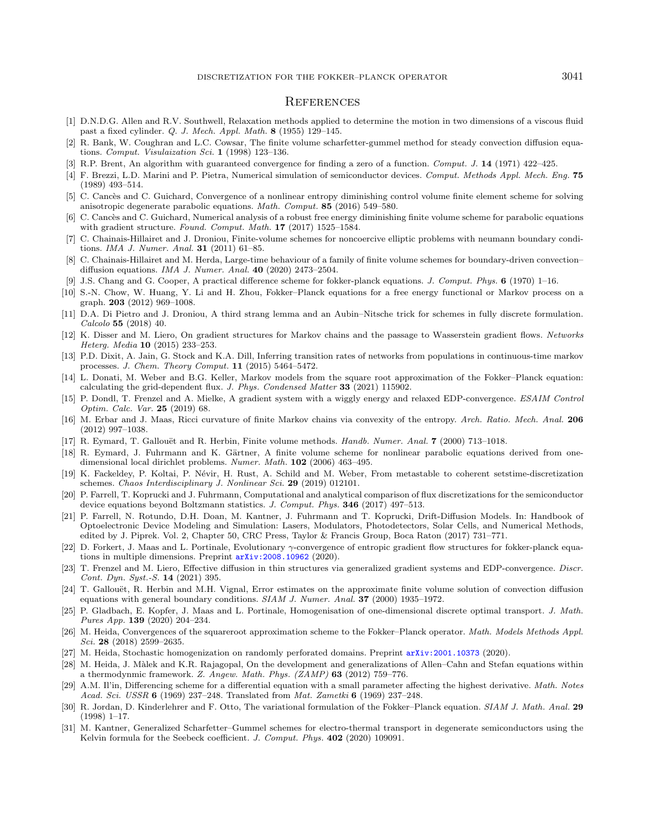#### **REFERENCES**

- <span id="page-24-30"></span><span id="page-24-23"></span><span id="page-24-22"></span><span id="page-24-21"></span><span id="page-24-12"></span><span id="page-24-11"></span><span id="page-24-8"></span><span id="page-24-3"></span><span id="page-24-0"></span>[1] D.N.D.G. Allen and R.V. Southwell, Relaxation methods applied to determine the motion in two dimensions of a viscous fluid past a fixed cylinder. Q. J. Mech. Appl. Math. 8 (1955) 129–145.
- <span id="page-24-19"></span>[2] R. Bank, W. Coughran and L.C. Cowsar, The finite volume scharfetter-gummel method for steady convection diffusion equations. Comput. Visulaization Sci. 1 (1998) 123-136.
- <span id="page-24-15"></span>[3] R.P. Brent, An algorithm with guaranteed convergence for finding a zero of a function. Comput. J. 14 (1971) 422–425.
- <span id="page-24-26"></span>[4] F. Brezzi, L.D. Marini and P. Pietra, Numerical simulation of semiconductor devices. Comput. Methods Appl. Mech. Eng. 75 (1989) 493–514.
- <span id="page-24-7"></span>[5] C. Cancès and C. Guichard, Convergence of a nonlinear entropy diminishing control volume finite element scheme for solving anisotropic degenerate parabolic equations. Math. Comput. 85 (2016) 549–580.
- <span id="page-24-13"></span>[6] C. Cancès and C. Guichard, Numerical analysis of a robust free energy diminishing finite volume scheme for parabolic equations with gradient structure. Found. Comput. Math. 17 (2017) 1525–1584.
- <span id="page-24-24"></span>[7] C. Chainais-Hillairet and J. Droniou, Finite-volume schemes for noncoercive elliptic problems with neumann boundary conditions. IMA J. Numer. Anal. **31** (2011) 61-85.
- <span id="page-24-20"></span>[8] C. Chainais-Hillairet and M. Herda, Large-time behaviour of a family of finite volume schemes for boundary-driven convection– diffusion equations. IMA J. Numer. Anal. 40 (2020) 2473–2504.
- <span id="page-24-9"></span>[9] J.S. Chang and G. Cooper, A practical difference scheme for fokker-planck equations. J. Comput. Phys. 6 (1970) 1–16.
- <span id="page-24-4"></span>[10] S.-N. Chow, W. Huang, Y. Li and H. Zhou, Fokker–Planck equations for a free energy functional or Markov process on a graph. 203 (2012) 969–1008.
- <span id="page-24-16"></span>[11] D.A. Di Pietro and J. Droniou, A third strang lemma and an Aubin–Nitsche trick for schemes in fully discrete formulation. Calcolo 55 (2018) 40.
- <span id="page-24-5"></span>[12] K. Disser and M. Liero, On gradient structures for Markov chains and the passage to Wasserstein gradient flows. Networks Heterg. Media 10 (2015) 233–253.
- <span id="page-24-2"></span>[13] P.D. Dixit, A. Jain, G. Stock and K.A. Dill, Inferring transition rates of networks from populations in continuous-time markov processes. J. Chem. Theory Comput. 11 (2015) 5464–5472.
- [14] L. Donati, M. Weber and B.G. Keller, Markov models from the square root approximation of the Fokker–Planck equation: calculating the grid-dependent flux. J. Phys. Condensed Matter 33 (2021) 115902.
- <span id="page-24-27"></span>[15] P. Dondl, T. Frenzel and A. Mielke, A gradient system with a wiggly energy and relaxed EDP-convergence. ESAIM Control Optim. Calc. Var. 25 (2019) 68.
- <span id="page-24-25"></span>[16] M. Erbar and J. Maas, Ricci curvature of finite Markov chains via convexity of the entropy. Arch. Ratio. Mech. Anal. 206 (2012) 997–1038.
- <span id="page-24-10"></span>[17] R. Eymard, T. Gallouët and R. Herbin, Finite volume methods. *Handb. Numer. Anal.* **7** (2000) 713–1018.
- <span id="page-24-28"></span>[18] R. Eymard, J. Fuhrmann and K. Gärtner, A finite volume scheme for nonlinear parabolic equations derived from onedimensional local dirichlet problems. Numer. Math. 102 (2006) 463–495.
- <span id="page-24-14"></span>[19] K. Fackeldey, P. Koltai, P. Névir, H. Rust, A. Schild and M. Weber, From metastable to coherent setstime-discretization schemes. Chaos Interdisciplinary J. Nonlinear Sci. 29 (2019) 012101.
- <span id="page-24-29"></span>[20] P. Farrell, T. Koprucki and J. Fuhrmann, Computational and analytical comparison of flux discretizations for the semiconductor device equations beyond Boltzmann statistics. J. Comput. Phys. **346** (2017) 497-513.
- <span id="page-24-18"></span><span id="page-24-1"></span>[21] P. Farrell, N. Rotundo, D.H. Doan, M. Kantner, J. Fuhrmann and T. Koprucki, Drift-Diffusion Models. In: Handbook of Optoelectronic Device Modeling and Simulation: Lasers, Modulators, Photodetectors, Solar Cells, and Numerical Methods, edited by J. Piprek. Vol. 2, Chapter 50, CRC Press, Taylor & Francis Group, Boca Raton (2017) 731–771.
- <span id="page-24-17"></span>D. Forkert, J. Maas and L. Portinale, Evolutionary  $\gamma$ -convergence of entropic gradient flow structures for fokker-planck equations in multiple dimensions. Preprint [arXiv:2008.10962](https://arxiv.org/abs/2008.10962) (2020).
- <span id="page-24-6"></span>[23] T. Frenzel and M. Liero, Effective diffusion in thin structures via generalized gradient systems and EDP-convergence. Discr. Cont. Dyn. Syst.-S. 14 (2021) 395.
- [24] T. Gallouët, R. Herbin and M.H. Vignal, Error estimates on the approximate finite volume solution of convection diffusion equations with general boundary conditions. SIAM J. Numer. Anal. 37 (2000) 1935–1972.
- [25] P. Gladbach, E. Kopfer, J. Maas and L. Portinale, Homogenisation of one-dimensional discrete optimal transport. J. Math. Pures App. 139 (2020) 204–234.
- [26] M. Heida, Convergences of the squareroot approximation scheme to the Fokker–Planck operator. Math. Models Methods Appl. Sci. 28 (2018) 2599–2635.
- [27] M. Heida, Stochastic homogenization on randomly perforated domains. Preprint [arXiv:2001.10373](https://arxiv.org/abs/2001.10373) (2020).
- [28] M. Heida, J. Màlek and K.R. Rajagopal, On the development and generalizations of Allen–Cahn and Stefan equations within a thermodynmic framework. Z. Angew. Math. Phys. (ZAMP) 63 (2012) 759–776.
- [29] A.M. Il'in, Differencing scheme for a differential equation with a small parameter affecting the highest derivative. Math. Notes Acad. Sci. USSR 6 (1969) 237–248. Translated from Mat. Zametki 6 (1969) 237–248.
- [30] R. Jordan, D. Kinderlehrer and F. Otto, The variational formulation of the Fokker–Planck equation. SIAM J. Math. Anal. 29 (1998) 1–17.
- [31] M. Kantner, Generalized Scharfetter–Gummel schemes for electro-thermal transport in degenerate semiconductors using the Kelvin formula for the Seebeck coefficient. J. Comput. Phys. 402 (2020) 109091.